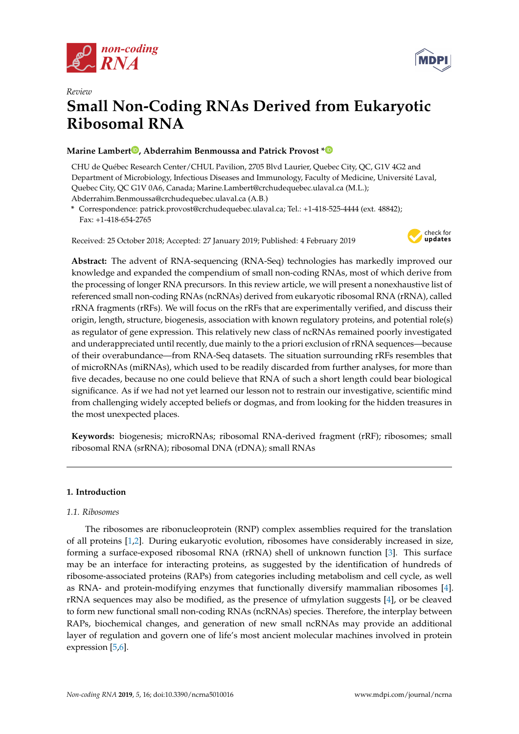



# *Review* **Small Non-Coding RNAs Derived from Eukaryotic Ribosomal RNA**

# **Marine Lamber[t](https://orcid.org/0000-0002-3749-920X) , Abderrahim Benmoussa and Patrick Provost [\\*](https://orcid.org/0000-0002-6099-6562)**

CHU de Québec Research Center/CHUL Pavilion, 2705 Blvd Laurier, Quebec City, QC, G1V 4G2 and Department of Microbiology, Infectious Diseases and Immunology, Faculty of Medicine, Université Laval, Quebec City, QC G1V 0A6, Canada; Marine.Lambert@crchudequebec.ulaval.ca (M.L.); Abderrahim.Benmoussa@crchudequebec.ulaval.ca (A.B.)

**\*** Correspondence: patrick.provost@crchudequebec.ulaval.ca; Tel.: +1-418-525-4444 (ext. 48842); Fax: +1-418-654-2765

Received: 25 October 2018; Accepted: 27 January 2019; Published: 4 February 2019



**Abstract:** The advent of RNA-sequencing (RNA-Seq) technologies has markedly improved our knowledge and expanded the compendium of small non-coding RNAs, most of which derive from the processing of longer RNA precursors. In this review article, we will present a nonexhaustive list of referenced small non-coding RNAs (ncRNAs) derived from eukaryotic ribosomal RNA (rRNA), called rRNA fragments (rRFs). We will focus on the rRFs that are experimentally verified, and discuss their origin, length, structure, biogenesis, association with known regulatory proteins, and potential role(s) as regulator of gene expression. This relatively new class of ncRNAs remained poorly investigated and underappreciated until recently, due mainly to the a priori exclusion of rRNA sequences—because of their overabundance—from RNA-Seq datasets. The situation surrounding rRFs resembles that of microRNAs (miRNAs), which used to be readily discarded from further analyses, for more than five decades, because no one could believe that RNA of such a short length could bear biological significance. As if we had not yet learned our lesson not to restrain our investigative, scientific mind from challenging widely accepted beliefs or dogmas, and from looking for the hidden treasures in the most unexpected places.

**Keywords:** biogenesis; microRNAs; ribosomal RNA-derived fragment (rRF); ribosomes; small ribosomal RNA (srRNA); ribosomal DNA (rDNA); small RNAs

# **1. Introduction**

# *1.1. Ribosomes*

The ribosomes are ribonucleoprotein (RNP) complex assemblies required for the translation of all proteins [\[1,](#page-12-0)[2\]](#page-12-1). During eukaryotic evolution, ribosomes have considerably increased in size, forming a surface-exposed ribosomal RNA (rRNA) shell of unknown function [\[3\]](#page-12-2). This surface may be an interface for interacting proteins, as suggested by the identification of hundreds of ribosome-associated proteins (RAPs) from categories including metabolism and cell cycle, as well as RNA- and protein-modifying enzymes that functionally diversify mammalian ribosomes [\[4\]](#page-12-3). rRNA sequences may also be modified, as the presence of ufmylation suggests [\[4\]](#page-12-3), or be cleaved to form new functional small non-coding RNAs (ncRNAs) species. Therefore, the interplay between RAPs, biochemical changes, and generation of new small ncRNAs may provide an additional layer of regulation and govern one of life's most ancient molecular machines involved in protein expression [\[5](#page-12-4)[,6\]](#page-12-5).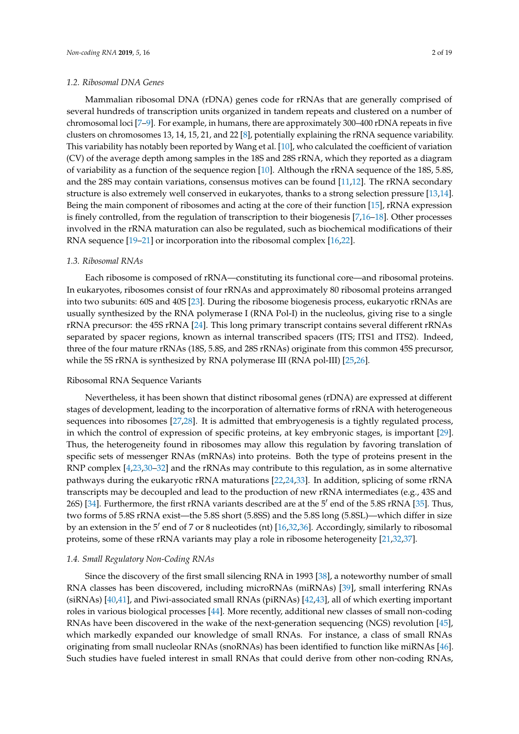#### *1.2. Ribosomal DNA Genes*

Mammalian ribosomal DNA (rDNA) genes code for rRNAs that are generally comprised of several hundreds of transcription units organized in tandem repeats and clustered on a number of chromosomal loci [\[7–](#page-12-6)[9\]](#page-12-7). For example, in humans, there are approximately 300–400 rDNA repeats in five clusters on chromosomes 13, 14, 15, 21, and 22 [\[8\]](#page-12-8), potentially explaining the rRNA sequence variability. This variability has notably been reported by Wang et al. [\[10\]](#page-12-9), who calculated the coefficient of variation (CV) of the average depth among samples in the 18S and 28S rRNA, which they reported as a diagram of variability as a function of the sequence region [\[10\]](#page-12-9). Although the rRNA sequence of the 18S, 5.8S, and the 28S may contain variations, consensus motives can be found [\[11](#page-12-10)[,12\]](#page-13-0). The rRNA secondary structure is also extremely well conserved in eukaryotes, thanks to a strong selection pressure [\[13,](#page-13-1)[14\]](#page-13-2). Being the main component of ribosomes and acting at the core of their function [\[15\]](#page-13-3), rRNA expression is finely controlled, from the regulation of transcription to their biogenesis [\[7,](#page-12-6)[16](#page-13-4)[–18\]](#page-13-5). Other processes involved in the rRNA maturation can also be regulated, such as biochemical modifications of their RNA sequence [\[19–](#page-13-6)[21\]](#page-13-7) or incorporation into the ribosomal complex [\[16,](#page-13-4)[22\]](#page-13-8).

#### *1.3. Ribosomal RNAs*

Each ribosome is composed of rRNA—constituting its functional core—and ribosomal proteins. In eukaryotes, ribosomes consist of four rRNAs and approximately 80 ribosomal proteins arranged into two subunits: 60S and 40S [\[23\]](#page-13-9). During the ribosome biogenesis process, eukaryotic rRNAs are usually synthesized by the RNA polymerase I (RNA Pol-I) in the nucleolus, giving rise to a single rRNA precursor: the 45S rRNA [\[24\]](#page-13-10). This long primary transcript contains several different rRNAs separated by spacer regions, known as internal transcribed spacers (ITS; ITS1 and ITS2). Indeed, three of the four mature rRNAs (18S, 5.8S, and 28S rRNAs) originate from this common 45S precursor, while the 5S rRNA is synthesized by RNA polymerase III (RNA pol-III) [\[25](#page-13-11)[,26\]](#page-13-12).

#### Ribosomal RNA Sequence Variants

Nevertheless, it has been shown that distinct ribosomal genes (rDNA) are expressed at different stages of development, leading to the incorporation of alternative forms of rRNA with heterogeneous sequences into ribosomes [\[27](#page-13-13)[,28\]](#page-13-14). It is admitted that embryogenesis is a tightly regulated process, in which the control of expression of specific proteins, at key embryonic stages, is important [\[29\]](#page-13-15). Thus, the heterogeneity found in ribosomes may allow this regulation by favoring translation of specific sets of messenger RNAs (mRNAs) into proteins. Both the type of proteins present in the RNP complex [\[4](#page-12-3)[,23](#page-13-9)[,30–](#page-13-16)[32\]](#page-13-17) and the rRNAs may contribute to this regulation, as in some alternative pathways during the eukaryotic rRNA maturations [\[22](#page-13-8)[,24](#page-13-10)[,33\]](#page-13-18). In addition, splicing of some rRNA transcripts may be decoupled and lead to the production of new rRNA intermediates (e.g., 43S and 26S) [\[34\]](#page-14-0). Furthermore, the first rRNA variants described are at the 5' end of the 5.8S rRNA [\[35\]](#page-14-1). Thus, two forms of 5.8S rRNA exist—the 5.8S short (5.8SS) and the 5.8S long (5.8SL)—which differ in size by an extension in the 5' end of 7 or 8 nucleotides (nt) [\[16,](#page-13-4)[32,](#page-13-17)[36\]](#page-14-2). Accordingly, similarly to ribosomal proteins, some of these rRNA variants may play a role in ribosome heterogeneity [\[21](#page-13-7)[,32,](#page-13-17)[37\]](#page-14-3).

#### *1.4. Small Regulatory Non-Coding RNAs*

Since the discovery of the first small silencing RNA in 1993 [\[38\]](#page-14-4), a noteworthy number of small RNA classes has been discovered, including microRNAs (miRNAs) [\[39\]](#page-14-5), small interfering RNAs (siRNAs) [\[40,](#page-14-6)[41\]](#page-14-7), and Piwi-associated small RNAs (piRNAs) [\[42](#page-14-8)[,43\]](#page-14-9), all of which exerting important roles in various biological processes [\[44\]](#page-14-10). More recently, additional new classes of small non-coding RNAs have been discovered in the wake of the next-generation sequencing (NGS) revolution [\[45\]](#page-14-11), which markedly expanded our knowledge of small RNAs. For instance, a class of small RNAs originating from small nucleolar RNAs (snoRNAs) has been identified to function like miRNAs [\[46\]](#page-14-12). Such studies have fueled interest in small RNAs that could derive from other non-coding RNAs,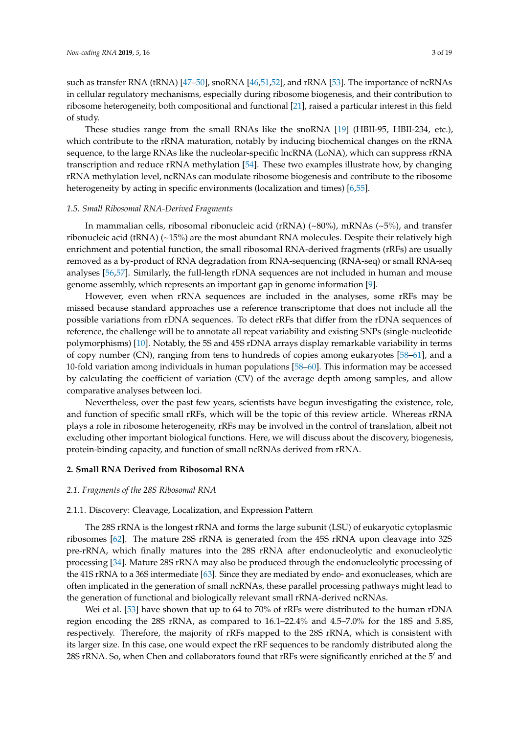such as transfer RNA (tRNA) [\[47–](#page-14-13)[50\]](#page-14-14), snoRNA [\[46,](#page-14-12)[51](#page-14-15)[,52\]](#page-14-16), and rRNA [\[53\]](#page-14-17). The importance of ncRNAs in cellular regulatory mechanisms, especially during ribosome biogenesis, and their contribution to ribosome heterogeneity, both compositional and functional [\[21\]](#page-13-7), raised a particular interest in this field of study.

These studies range from the small RNAs like the snoRNA [\[19\]](#page-13-6) (HBII-95, HBII-234, etc.), which contribute to the rRNA maturation, notably by inducing biochemical changes on the rRNA sequence, to the large RNAs like the nucleolar-specific lncRNA (LoNA), which can suppress rRNA transcription and reduce rRNA methylation [\[54\]](#page-14-18). These two examples illustrate how, by changing rRNA methylation level, ncRNAs can modulate ribosome biogenesis and contribute to the ribosome heterogeneity by acting in specific environments (localization and times) [\[6](#page-12-5)[,55\]](#page-15-0).

# *1.5. Small Ribosomal RNA-Derived Fragments*

In mammalian cells, ribosomal ribonucleic acid (rRNA) (~80%), mRNAs (~5%), and transfer ribonucleic acid (tRNA) (~15%) are the most abundant RNA molecules. Despite their relatively high enrichment and potential function, the small ribosomal RNA-derived fragments (rRFs) are usually removed as a by-product of RNA degradation from RNA-sequencing (RNA-seq) or small RNA-seq analyses [\[56](#page-15-1)[,57\]](#page-15-2). Similarly, the full-length rDNA sequences are not included in human and mouse genome assembly, which represents an important gap in genome information [\[9\]](#page-12-7).

However, even when rRNA sequences are included in the analyses, some rRFs may be missed because standard approaches use a reference transcriptome that does not include all the possible variations from rDNA sequences. To detect rRFs that differ from the rDNA sequences of reference, the challenge will be to annotate all repeat variability and existing SNPs (single-nucleotide polymorphisms) [\[10\]](#page-12-9). Notably, the 5S and 45S rDNA arrays display remarkable variability in terms of copy number (CN), ranging from tens to hundreds of copies among eukaryotes [\[58–](#page-15-3)[61\]](#page-15-4), and a 10-fold variation among individuals in human populations [\[58–](#page-15-3)[60\]](#page-15-5). This information may be accessed by calculating the coefficient of variation (CV) of the average depth among samples, and allow comparative analyses between loci.

Nevertheless, over the past few years, scientists have begun investigating the existence, role, and function of specific small rRFs, which will be the topic of this review article. Whereas rRNA plays a role in ribosome heterogeneity, rRFs may be involved in the control of translation, albeit not excluding other important biological functions. Here, we will discuss about the discovery, biogenesis, protein-binding capacity, and function of small ncRNAs derived from rRNA.

# **2. Small RNA Derived from Ribosomal RNA**

# *2.1. Fragments of the 28S Ribosomal RNA*

# 2.1.1. Discovery: Cleavage, Localization, and Expression Pattern

The 28S rRNA is the longest rRNA and forms the large subunit (LSU) of eukaryotic cytoplasmic ribosomes [\[62\]](#page-15-6). The mature 28S rRNA is generated from the 45S rRNA upon cleavage into 32S pre-rRNA, which finally matures into the 28S rRNA after endonucleolytic and exonucleolytic processing [\[34\]](#page-14-0). Mature 28S rRNA may also be produced through the endonucleolytic processing of the 41S rRNA to a 36S intermediate [\[63\]](#page-15-7). Since they are mediated by endo- and exonucleases, which are often implicated in the generation of small ncRNAs, these parallel processing pathways might lead to the generation of functional and biologically relevant small rRNA-derived ncRNAs.

Wei et al. [\[53\]](#page-14-17) have shown that up to 64 to 70% of rRFs were distributed to the human rDNA region encoding the 28S rRNA, as compared to 16.1–22.4% and 4.5–7.0% for the 18S and 5.8S, respectively. Therefore, the majority of rRFs mapped to the 28S rRNA, which is consistent with its larger size. In this case, one would expect the rRF sequences to be randomly distributed along the 28S rRNA. So, when Chen and collaborators found that rRFs were significantly enriched at the 5' and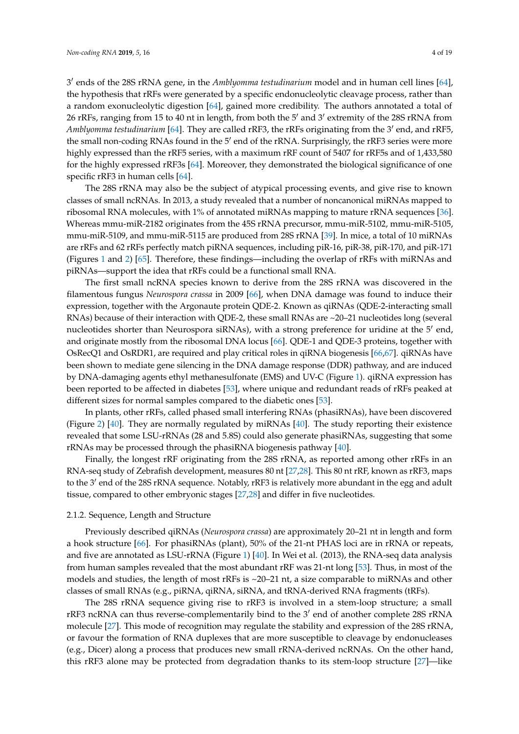3 0 ends of the 28S rRNA gene, in the *Amblyomma testudinarium* model and in human cell lines [\[64\]](#page-15-8), the hypothesis that rRFs were generated by a specific endonucleolytic cleavage process, rather than a random exonucleolytic digestion [\[64\]](#page-15-8), gained more credibility. The authors annotated a total of 26 rRFs, ranging from 15 to 40 nt in length, from both the 5' and 3' extremity of the 28S rRNA from Amblyomma testudinarium [\[64\]](#page-15-8). They are called rRF3, the rRFs originating from the 3' end, and rRF5, the small non-coding RNAs found in the 5' end of the rRNA. Surprisingly, the rRF3 series were more highly expressed than the rRF5 series, with a maximum rRF count of 5407 for rRF5s and of 1,433,580 for the highly expressed rRF3s [\[64\]](#page-15-8). Moreover, they demonstrated the biological significance of one specific rRF3 in human cells [\[64\]](#page-15-8).

The 28S rRNA may also be the subject of atypical processing events, and give rise to known classes of small ncRNAs. In 2013, a study revealed that a number of noncanonical miRNAs mapped to ribosomal RNA molecules, with 1% of annotated miRNAs mapping to mature rRNA sequences [\[36\]](#page-14-2). Whereas mmu-miR-2182 originates from the 45S rRNA precursor, mmu-miR-5102, mmu-miR-5105, mmu-miR-5109, and mmu-miR-5115 are produced from 28S rRNA [\[39\]](#page-14-5). In mice, a total of 10 miRNAs are rRFs and 62 rRFs perfectly match piRNA sequences, including piR-16, piR-38, piR-170, and piR-171 (Figures [1](#page-5-0) and [2\)](#page-11-0) [\[65\]](#page-15-9). Therefore, these findings—including the overlap of rRFs with miRNAs and piRNAs—support the idea that rRFs could be a functional small RNA.

The first small ncRNA species known to derive from the 28S rRNA was discovered in the filamentous fungus *Neurospora crassa* in 2009 [\[66\]](#page-15-10), when DNA damage was found to induce their expression, together with the Argonaute protein QDE-2. Known as qiRNAs (QDE-2-interacting small RNAs) because of their interaction with QDE-2, these small RNAs are ~20–21 nucleotides long (several nucleotides shorter than Neurospora siRNAs), with a strong preference for uridine at the 5' end, and originate mostly from the ribosomal DNA locus [\[66\]](#page-15-10). QDE-1 and QDE-3 proteins, together with OsRecQ1 and OsRDR1, are required and play critical roles in qiRNA biogenesis [\[66](#page-15-10)[,67\]](#page-15-11). qiRNAs have been shown to mediate gene silencing in the DNA damage response (DDR) pathway, and are induced by DNA-damaging agents ethyl methanesulfonate (EMS) and UV-C (Figure [1\)](#page-5-0). qiRNA expression has been reported to be affected in diabetes [\[53\]](#page-14-17), where unique and redundant reads of rRFs peaked at different sizes for normal samples compared to the diabetic ones [\[53\]](#page-14-17).

In plants, other rRFs, called phased small interfering RNAs (phasiRNAs), have been discovered (Figure [2\)](#page-11-0) [\[40\]](#page-14-6). They are normally regulated by miRNAs [\[40\]](#page-14-6). The study reporting their existence revealed that some LSU-rRNAs (28 and 5.8S) could also generate phasiRNAs, suggesting that some rRNAs may be processed through the phasiRNA biogenesis pathway [\[40\]](#page-14-6).

Finally, the longest rRF originating from the 28S rRNA, as reported among other rRFs in an RNA-seq study of Zebrafish development, measures 80 nt [\[27](#page-13-13)[,28\]](#page-13-14). This 80 nt rRF, known as rRF3, maps to the 3' end of the 28S rRNA sequence. Notably, rRF3 is relatively more abundant in the egg and adult tissue, compared to other embryonic stages [\[27](#page-13-13)[,28\]](#page-13-14) and differ in five nucleotides.

#### 2.1.2. Sequence, Length and Structure

Previously described qiRNAs (*Neurospora crassa*) are approximately 20–21 nt in length and form a hook structure [\[66\]](#page-15-10). For phasiRNAs (plant), 50% of the 21-nt PHAS loci are in rRNA or repeats, and five are annotated as LSU-rRNA (Figure [1\)](#page-5-0) [\[40\]](#page-14-6). In Wei et al. (2013), the RNA-seq data analysis from human samples revealed that the most abundant rRF was 21-nt long [\[53\]](#page-14-17). Thus, in most of the models and studies, the length of most rRFs is ~20–21 nt, a size comparable to miRNAs and other classes of small RNAs (e.g., piRNA, qiRNA, siRNA, and tRNA-derived RNA fragments (tRFs).

The 28S rRNA sequence giving rise to rRF3 is involved in a stem-loop structure; a small  $r$ RF3 ncRNA can thus reverse-complementarily bind to the  $3'$  end of another complete 28S  $r$ RNA molecule [\[27\]](#page-13-13). This mode of recognition may regulate the stability and expression of the 28S rRNA, or favour the formation of RNA duplexes that are more susceptible to cleavage by endonucleases (e.g., Dicer) along a process that produces new small rRNA-derived ncRNAs. On the other hand, this rRF3 alone may be protected from degradation thanks to its stem-loop structure [\[27\]](#page-13-13)—like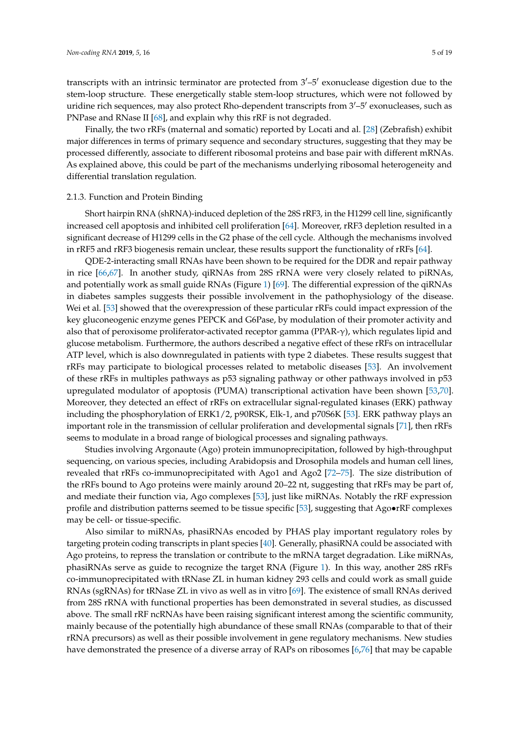transcripts with an intrinsic terminator are protected from  $3'-5'$  exonuclease digestion due to the stem-loop structure. These energetically stable stem-loop structures, which were not followed by uridine rich sequences, may also protect Rho-dependent transcripts from  $3'-5'$  exonucleases, such as PNPase and RNase II [\[68\]](#page-15-12), and explain why this rRF is not degraded.

Finally, the two rRFs (maternal and somatic) reported by Locati and al. [\[28\]](#page-13-14) (Zebrafish) exhibit major differences in terms of primary sequence and secondary structures, suggesting that they may be processed differently, associate to different ribosomal proteins and base pair with different mRNAs. As explained above, this could be part of the mechanisms underlying ribosomal heterogeneity and differential translation regulation.

#### 2.1.3. Function and Protein Binding

Short hairpin RNA (shRNA)-induced depletion of the 28S rRF3, in the H1299 cell line, significantly increased cell apoptosis and inhibited cell proliferation [\[64\]](#page-15-8). Moreover, rRF3 depletion resulted in a significant decrease of H1299 cells in the G2 phase of the cell cycle. Although the mechanisms involved in rRF5 and rRF3 biogenesis remain unclear, these results support the functionality of rRFs [\[64\]](#page-15-8).

QDE-2-interacting small RNAs have been shown to be required for the DDR and repair pathway in rice [\[66,](#page-15-10)[67\]](#page-15-11). In another study, qiRNAs from 28S rRNA were very closely related to piRNAs, and potentially work as small guide RNAs (Figure [1\)](#page-5-0) [\[69\]](#page-15-13). The differential expression of the qiRNAs in diabetes samples suggests their possible involvement in the pathophysiology of the disease. Wei et al. [\[53\]](#page-14-17) showed that the overexpression of these particular rRFs could impact expression of the key gluconeogenic enzyme genes PEPCK and G6Pase, by modulation of their promoter activity and also that of peroxisome proliferator-activated receptor gamma (PPAR-γ), which regulates lipid and glucose metabolism. Furthermore, the authors described a negative effect of these rRFs on intracellular ATP level, which is also downregulated in patients with type 2 diabetes. These results suggest that rRFs may participate to biological processes related to metabolic diseases [\[53\]](#page-14-17). An involvement of these rRFs in multiples pathways as p53 signaling pathway or other pathways involved in p53 upregulated modulator of apoptosis (PUMA) transcriptional activation have been shown [\[53,](#page-14-17)[70\]](#page-15-14). Moreover, they detected an effect of rRFs on extracellular signal-regulated kinases (ERK) pathway including the phosphorylation of ERK1/2, p90RSK, Elk-1, and p70S6K [\[53\]](#page-14-17). ERK pathway plays an important role in the transmission of cellular proliferation and developmental signals [\[71\]](#page-15-15), then rRFs seems to modulate in a broad range of biological processes and signaling pathways.

Studies involving Argonaute (Ago) protein immunoprecipitation, followed by high-throughput sequencing, on various species, including Arabidopsis and Drosophila models and human cell lines, revealed that rRFs co-immunoprecipitated with Ago1 and Ago2 [\[72–](#page-15-16)[75\]](#page-15-17). The size distribution of the rRFs bound to Ago proteins were mainly around 20–22 nt, suggesting that rRFs may be part of, and mediate their function via, Ago complexes [\[53\]](#page-14-17), just like miRNAs. Notably the rRF expression profile and distribution patterns seemed to be tissue specific [\[53\]](#page-14-17), suggesting that Ago•rRF complexes may be cell- or tissue-specific.

Also similar to miRNAs, phasiRNAs encoded by PHAS play important regulatory roles by targeting protein coding transcripts in plant species [\[40\]](#page-14-6). Generally, phasiRNA could be associated with Ago proteins, to repress the translation or contribute to the mRNA target degradation. Like miRNAs, phasiRNAs serve as guide to recognize the target RNA (Figure [1\)](#page-5-0). In this way, another 28S rRFs co-immunoprecipitated with tRNase ZL in human kidney 293 cells and could work as small guide RNAs (sgRNAs) for tRNase ZL in vivo as well as in vitro [\[69\]](#page-15-13). The existence of small RNAs derived from 28S rRNA with functional properties has been demonstrated in several studies, as discussed above. The small rRF ncRNAs have been raising significant interest among the scientific community, mainly because of the potentially high abundance of these small RNAs (comparable to that of their rRNA precursors) as well as their possible involvement in gene regulatory mechanisms. New studies have demonstrated the presence of a diverse array of RAPs on ribosomes [\[6](#page-12-5)[,76\]](#page-16-0) that may be capable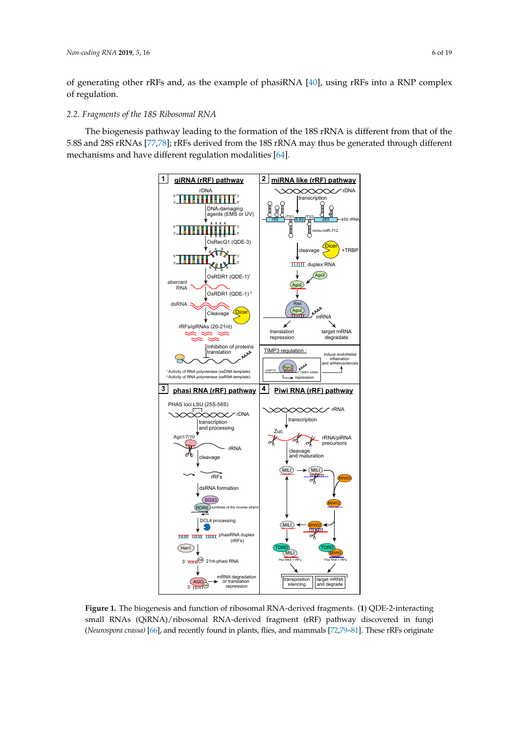of generating other rRFs and, as the example of phasiRNA [\[40\]](#page-14-6), using rRFs into a RNP complex of regulation.

# *2.2. Fragments of the 18S Ribosomal RNA*

<span id="page-5-0"></span>The biogenesis pathway leading to the formation of the 18S rRNA is different from that of the 5.8S and 28S rRNAs [\[77,](#page-16-1)[78\]](#page-16-2); rRFs derived from the 18S rRNA may thus be generated through different mechanisms and have different regulation modalities [\[64\]](#page-15-8).



small RNAs (QiRNA)/ribosomal RNA-derived fragment (rRF) pathway discovered in fungi (*Neurospora crassa*) [\[66\]](#page-15-10), and recently found in plants, flies, and mammals [\[72,](#page-15-16)79-[81\]](#page-16-4). These rRFs originate (*Neurospora crassa)* [66], and recently found in plants, flies, and mammals [72,79–81]. These rRFs **Figure 1.** The biogenesis and function of ribosomal RNA-derived fragments. (**1**) QDE-2-interacting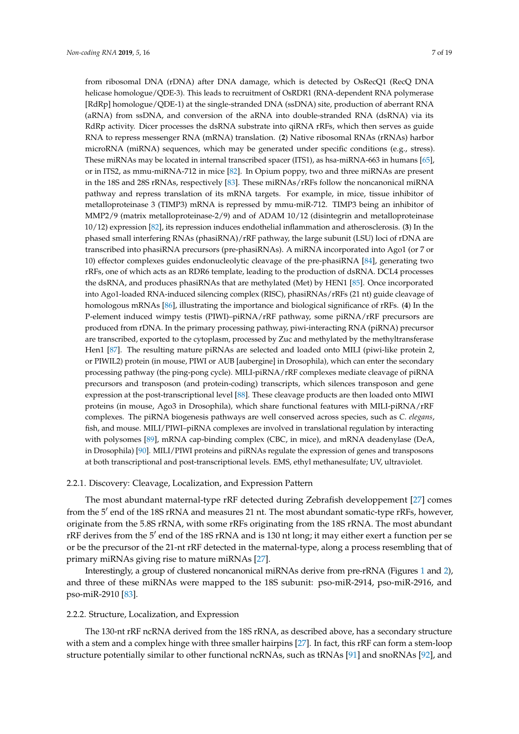from ribosomal DNA (rDNA) after DNA damage, which is detected by OsRecQ1 (RecQ DNA helicase homologue/QDE-3). This leads to recruitment of OsRDR1 (RNA-dependent RNA polymerase [RdRp] homologue/QDE-1) at the single-stranded DNA (ssDNA) site, production of aberrant RNA (aRNA) from ssDNA, and conversion of the aRNA into double-stranded RNA (dsRNA) via its RdRp activity. Dicer processes the dsRNA substrate into qiRNA rRFs, which then serves as guide RNA to repress messenger RNA (mRNA) translation. (**2**) Native ribosomal RNAs (rRNAs) harbor microRNA (miRNA) sequences, which may be generated under specific conditions (e.g., stress). These miRNAs may be located in internal transcribed spacer (ITS1), as hsa-miRNA-663 in humans [\[65\]](#page-15-9), or in ITS2, as mmu-miRNA-712 in mice [\[82\]](#page-16-5). In Opium poppy, two and three miRNAs are present in the 18S and 28S rRNAs, respectively [\[83\]](#page-16-6). These miRNAs/rRFs follow the noncanonical miRNA pathway and repress translation of its mRNA targets. For example, in mice, tissue inhibitor of metalloproteinase 3 (TIMP3) mRNA is repressed by mmu-miR-712. TIMP3 being an inhibitor of MMP2/9 (matrix metalloproteinase-2/9) and of ADAM 10/12 (disintegrin and metalloproteinase 10/12) expression [\[82\]](#page-16-5), its repression induces endothelial inflammation and atherosclerosis. (**3**) In the phased small interfering RNAs (phasiRNA)/rRF pathway, the large subunit (LSU) loci of rDNA are transcribed into phasiRNA precursors (pre-phasiRNAs). A miRNA incorporated into Ago1 (or 7 or 10) effector complexes guides endonucleolytic cleavage of the pre-phasiRNA [\[84\]](#page-16-7), generating two rRFs, one of which acts as an RDR6 template, leading to the production of dsRNA. DCL4 processes the dsRNA, and produces phasiRNAs that are methylated (Met) by HEN1 [\[85\]](#page-16-8). Once incorporated into Ago1-loaded RNA-induced silencing complex (RISC), phasiRNAs/rRFs (21 nt) guide cleavage of homologous mRNAs [\[86\]](#page-16-9), illustrating the importance and biological significance of rRFs. (**4**) In the P-element induced wimpy testis (PIWI)–piRNA/rRF pathway, some piRNA/rRF precursors are produced from rDNA. In the primary processing pathway, piwi-interacting RNA (piRNA) precursor are transcribed, exported to the cytoplasm, processed by Zuc and methylated by the methyltransferase Hen1 [\[87\]](#page-16-10). The resulting mature piRNAs are selected and loaded onto MILI (piwi-like protein 2, or PIWIL2) protein (in mouse, PIWI or AUB [aubergine] in Drosophila), which can enter the secondary processing pathway (the ping-pong cycle). MILI-piRNA/rRF complexes mediate cleavage of piRNA precursors and transposon (and protein-coding) transcripts, which silences transposon and gene expression at the post-transcriptional level [\[88\]](#page-16-11). These cleavage products are then loaded onto MIWI proteins (in mouse, Ago3 in Drosophila), which share functional features with MILI-piRNA/rRF complexes. The piRNA biogenesis pathways are well conserved across species, such as *C. elegans*, fish, and mouse. MILI/PIWI–piRNA complexes are involved in translational regulation by interacting with polysomes [\[89\]](#page-16-12), mRNA cap-binding complex (CBC, in mice), and mRNA deadenylase (DeA, in Drosophila) [\[90\]](#page-16-13). MILI/PIWI proteins and piRNAs regulate the expression of genes and transposons at both transcriptional and post-transcriptional levels. EMS, ethyl methanesulfate; UV, ultraviolet.

#### 2.2.1. Discovery: Cleavage, Localization, and Expression Pattern

The most abundant maternal-type rRF detected during Zebrafish developpement [\[27\]](#page-13-13) comes from the 5' end of the 18S rRNA and measures 21 nt. The most abundant somatic-type rRFs, however, originate from the 5.8S rRNA, with some rRFs originating from the 18S rRNA. The most abundant rRF derives from the 5' end of the 18S rRNA and is 130 nt long; it may either exert a function per se or be the precursor of the 21-nt rRF detected in the maternal-type, along a process resembling that of primary miRNAs giving rise to mature miRNAs [\[27\]](#page-13-13).

Interestingly, a group of clustered noncanonical miRNAs derive from pre-rRNA (Figures [1](#page-5-0) and [2\)](#page-11-0), and three of these miRNAs were mapped to the 18S subunit: pso-miR-2914, pso-miR-2916, and pso-miR-2910 [\[83\]](#page-16-6).

# 2.2.2. Structure, Localization, and Expression

The 130-nt rRF ncRNA derived from the 18S rRNA, as described above, has a secondary structure with a stem and a complex hinge with three smaller hairpins [\[27\]](#page-13-13). In fact, this rRF can form a stem-loop structure potentially similar to other functional ncRNAs, such as tRNAs [\[91\]](#page-16-14) and snoRNAs [\[92\]](#page-16-15), and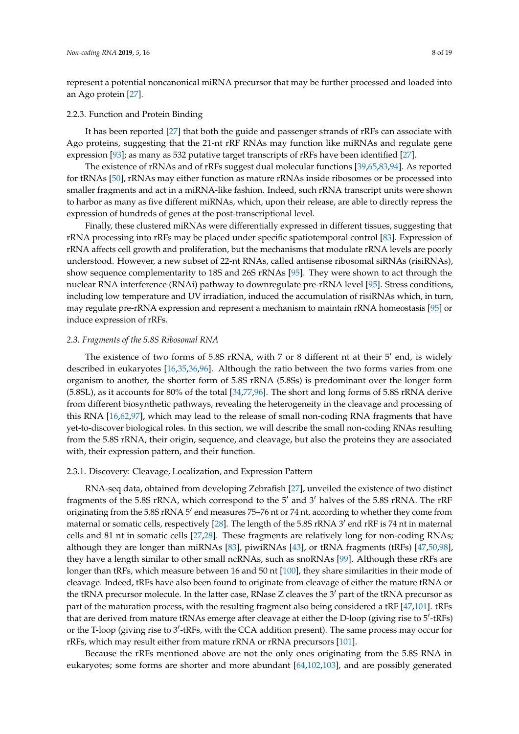represent a potential noncanonical miRNA precursor that may be further processed and loaded into an Ago protein [\[27\]](#page-13-13).

# 2.2.3. Function and Protein Binding

It has been reported [\[27\]](#page-13-13) that both the guide and passenger strands of rRFs can associate with Ago proteins, suggesting that the 21-nt rRF RNAs may function like miRNAs and regulate gene expression [\[93\]](#page-16-16); as many as 532 putative target transcripts of rRFs have been identified [\[27\]](#page-13-13).

The existence of rRNAs and of rRFs suggest dual molecular functions [\[39](#page-14-5)[,65](#page-15-9)[,83](#page-16-6)[,94\]](#page-16-17). As reported for tRNAs [\[50\]](#page-14-14), rRNAs may either function as mature rRNAs inside ribosomes or be processed into smaller fragments and act in a miRNA-like fashion. Indeed, such rRNA transcript units were shown to harbor as many as five different miRNAs, which, upon their release, are able to directly repress the expression of hundreds of genes at the post-transcriptional level.

Finally, these clustered miRNAs were differentially expressed in different tissues, suggesting that rRNA processing into rRFs may be placed under specific spatiotemporal control [\[83\]](#page-16-6). Expression of rRNA affects cell growth and proliferation, but the mechanisms that modulate rRNA levels are poorly understood. However, a new subset of 22-nt RNAs, called antisense ribosomal siRNAs (risiRNAs), show sequence complementarity to 18S and 26S rRNAs [\[95\]](#page-16-18). They were shown to act through the nuclear RNA interference (RNAi) pathway to downregulate pre-rRNA level [\[95\]](#page-16-18). Stress conditions, including low temperature and UV irradiation, induced the accumulation of risiRNAs which, in turn, may regulate pre-rRNA expression and represent a mechanism to maintain rRNA homeostasis [\[95\]](#page-16-18) or induce expression of rRFs.

### *2.3. Fragments of the 5.8S Ribosomal RNA*

The existence of two forms of 5.8S rRNA, with 7 or 8 different nt at their  $5'$  end, is widely described in eukaryotes [\[16,](#page-13-4)[35,](#page-14-1)[36,](#page-14-2)[96\]](#page-16-19). Although the ratio between the two forms varies from one organism to another, the shorter form of 5.8S rRNA (5.8Ss) is predominant over the longer form (5.8SL), as it accounts for 80% of the total [\[34](#page-14-0)[,77](#page-16-1)[,96\]](#page-16-19). The short and long forms of 5.8S rRNA derive from different biosynthetic pathways, revealing the heterogeneity in the cleavage and processing of this RNA [\[16,](#page-13-4)[62,](#page-15-6)[97\]](#page-17-0), which may lead to the release of small non-coding RNA fragments that have yet-to-discover biological roles. In this section, we will describe the small non-coding RNAs resulting from the 5.8S rRNA, their origin, sequence, and cleavage, but also the proteins they are associated with, their expression pattern, and their function.

### 2.3.1. Discovery: Cleavage, Localization, and Expression Pattern

RNA-seq data, obtained from developing Zebrafish [\[27\]](#page-13-13), unveiled the existence of two distinct fragments of the 5.8S rRNA, which correspond to the  $5'$  and  $3'$  halves of the 5.8S rRNA. The rRF originating from the 5.8S rRNA 5' end measures 75-76 nt or 74 nt, according to whether they come from maternal or somatic cells, respectively [\[28\]](#page-13-14). The length of the 5.8S rRNA 3' end rRF is 74 nt in maternal cells and 81 nt in somatic cells [\[27,](#page-13-13)[28\]](#page-13-14). These fragments are relatively long for non-coding RNAs; although they are longer than miRNAs [\[83\]](#page-16-6), piwiRNAs [\[43\]](#page-14-9), or tRNA fragments (tRFs) [\[47,](#page-14-13)[50,](#page-14-14)[98\]](#page-17-1), they have a length similar to other small ncRNAs, such as snoRNAs [\[99\]](#page-17-2). Although these rRFs are longer than tRFs, which measure between 16 and 50 nt [\[100\]](#page-17-3), they share similarities in their mode of cleavage. Indeed, tRFs have also been found to originate from cleavage of either the mature tRNA or the tRNA precursor molecule. In the latter case, RNase  $Z$  cleaves the  $3'$  part of the tRNA precursor as part of the maturation process, with the resulting fragment also being considered a tRF [\[47](#page-14-13)[,101\]](#page-17-4). tRFs that are derived from mature tRNAs emerge after cleavage at either the D-loop (giving rise to 5'-tRFs) or the T-loop (giving rise to 3'-tRFs, with the CCA addition present). The same process may occur for rRFs, which may result either from mature rRNA or rRNA precursors [\[101\]](#page-17-4).

Because the rRFs mentioned above are not the only ones originating from the 5.8S RNA in eukaryotes; some forms are shorter and more abundant [\[64,](#page-15-8)[102,](#page-17-5)[103\]](#page-17-6), and are possibly generated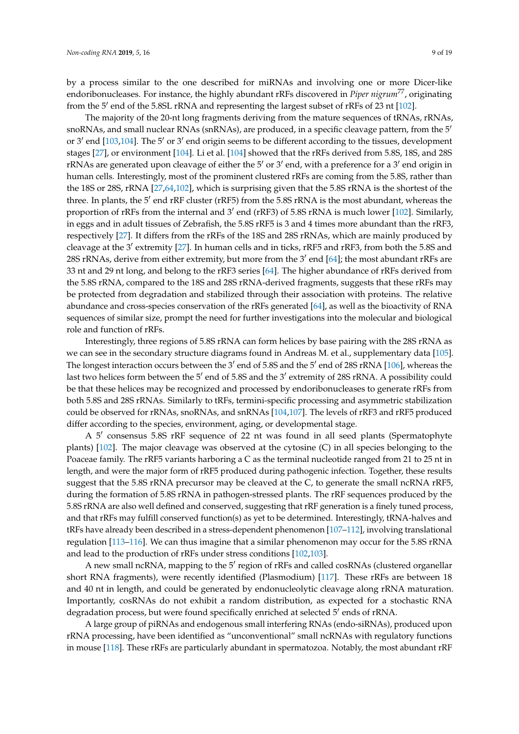by a process similar to the one described for miRNAs and involving one or more Dicer-like endoribonucleases. For instance, the highly abundant rRFs discovered in *Piper nigrum<sup>77</sup>*, originating

from the 5' end of the 5.8SL rRNA and representing the largest subset of rRFs of 23 nt [\[102\]](#page-17-5). The majority of the 20-nt long fragments deriving from the mature sequences of tRNAs, rRNAs, snoRNAs, and small nuclear RNAs (snRNAs), are produced, in a specific cleavage pattern, from the 5' or 3' end [\[103](#page-17-6)[,104\]](#page-17-7). The 5' or 3' end origin seems to be different according to the tissues, development stages [\[27\]](#page-13-13), or environment [\[104\]](#page-17-7). Li et al. [\[104\]](#page-17-7) showed that the rRFs derived from 5.8S, 18S, and 28S  $rRNAs$  are generated upon cleavage of either the  $5'$  or  $3'$  end, with a preference for a  $3'$  end origin in human cells. Interestingly, most of the prominent clustered rRFs are coming from the 5.8S, rather than the 18S or 28S, rRNA [\[27](#page-13-13)[,64](#page-15-8)[,102\]](#page-17-5), which is surprising given that the 5.8S rRNA is the shortest of the three. In plants, the 5' end rRF cluster (rRF5) from the 5.8S rRNA is the most abundant, whereas the proportion of rRFs from the internal and 3' end (rRF3) of 5.8S rRNA is much lower [\[102\]](#page-17-5). Similarly, in eggs and in adult tissues of Zebrafish, the 5.8S rRF5 is 3 and 4 times more abundant than the rRF3, respectively [\[27\]](#page-13-13). It differs from the rRFs of the 18S and 28S rRNAs, which are mainly produced by cleavage at the 3' extremity [\[27\]](#page-13-13). In human cells and in ticks, rRF5 and rRF3, from both the 5.8S and 28S rRNAs, derive from either extremity, but more from the  $3'$  end [\[64\]](#page-15-8); the most abundant rRFs are 33 nt and 29 nt long, and belong to the rRF3 series [\[64\]](#page-15-8). The higher abundance of rRFs derived from the 5.8S rRNA, compared to the 18S and 28S rRNA-derived fragments, suggests that these rRFs may be protected from degradation and stabilized through their association with proteins. The relative abundance and cross-species conservation of the rRFs generated [\[64\]](#page-15-8), as well as the bioactivity of RNA sequences of similar size, prompt the need for further investigations into the molecular and biological role and function of rRFs.

Interestingly, three regions of 5.8S rRNA can form helices by base pairing with the 28S rRNA as we can see in the secondary structure diagrams found in Andreas M. et al., supplementary data [\[105\]](#page-17-8). The longest interaction occurs between the  $3'$  end of 5.8S and the  $5'$  end of 28S rRNA [\[106\]](#page-17-9), whereas the last two helices form between the 5' end of 5.8S and the 3' extremity of 28S rRNA. A possibility could be that these helices may be recognized and processed by endoribonucleases to generate rRFs from both 5.8S and 28S rRNAs. Similarly to tRFs, termini-specific processing and asymmetric stabilization could be observed for rRNAs, snoRNAs, and snRNAs [\[104](#page-17-7)[,107\]](#page-17-10). The levels of rRF3 and rRF5 produced differ according to the species, environment, aging, or developmental stage.

A 5' consensus 5.8S rRF sequence of 22 nt was found in all seed plants (Spermatophyte plants) [\[102\]](#page-17-5). The major cleavage was observed at the cytosine (C) in all species belonging to the Poaceae family. The rRF5 variants harboring a C as the terminal nucleotide ranged from 21 to 25 nt in length, and were the major form of rRF5 produced during pathogenic infection. Together, these results suggest that the 5.8S rRNA precursor may be cleaved at the C, to generate the small ncRNA rRF5, during the formation of 5.8S rRNA in pathogen-stressed plants. The rRF sequences produced by the 5.8S rRNA are also well defined and conserved, suggesting that rRF generation is a finely tuned process, and that rRFs may fulfill conserved function(s) as yet to be determined. Interestingly, tRNA-halves and tRFs have already been described in a stress-dependent phenomenon [\[107–](#page-17-10)[112\]](#page-17-11), involving translational regulation [\[113](#page-17-12)[–116\]](#page-17-13). We can thus imagine that a similar phenomenon may occur for the 5.8S rRNA and lead to the production of rRFs under stress conditions [\[102](#page-17-5)[,103\]](#page-17-6).

A new small ncRNA, mapping to the 5' region of rRFs and called cosRNAs (clustered organellar short RNA fragments), were recently identified (Plasmodium) [\[117\]](#page-17-14). These rRFs are between 18 and 40 nt in length, and could be generated by endonucleolytic cleavage along rRNA maturation. Importantly, cosRNAs do not exhibit a random distribution, as expected for a stochastic RNA degradation process, but were found specifically enriched at selected 5' ends of rRNA.

A large group of piRNAs and endogenous small interfering RNAs (endo-siRNAs), produced upon rRNA processing, have been identified as "unconventional" small ncRNAs with regulatory functions in mouse [\[118\]](#page-18-0). These rRFs are particularly abundant in spermatozoa. Notably, the most abundant rRF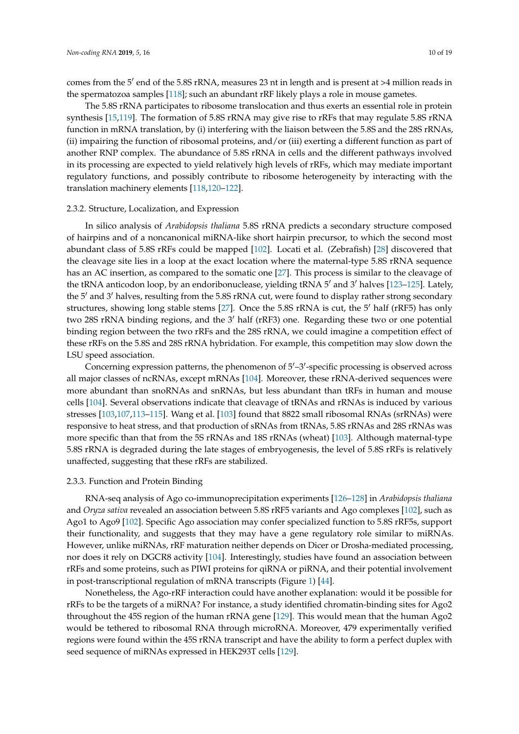comes from the 5' end of the 5.8S rRNA, measures 23 nt in length and is present at >4 million reads in the spermatozoa samples [\[118\]](#page-18-0); such an abundant rRF likely plays a role in mouse gametes.

The 5.8S rRNA participates to ribosome translocation and thus exerts an essential role in protein synthesis [\[15,](#page-13-3)[119\]](#page-18-1). The formation of 5.8S rRNA may give rise to rRFs that may regulate 5.8S rRNA function in mRNA translation, by (i) interfering with the liaison between the 5.8S and the 28S rRNAs, (ii) impairing the function of ribosomal proteins, and/or (iii) exerting a different function as part of another RNP complex. The abundance of 5.8S rRNA in cells and the different pathways involved in its processing are expected to yield relatively high levels of rRFs, which may mediate important regulatory functions, and possibly contribute to ribosome heterogeneity by interacting with the translation machinery elements [\[118](#page-18-0)[,120](#page-18-2)[–122\]](#page-18-3).

# 2.3.2. Structure, Localization, and Expression

In silico analysis of *Arabidopsis thaliana* 5.8S rRNA predicts a secondary structure composed of hairpins and of a noncanonical miRNA-like short hairpin precursor, to which the second most abundant class of 5.8S rRFs could be mapped [\[102\]](#page-17-5). Locati et al. (Zebrafish) [\[28\]](#page-13-14) discovered that the cleavage site lies in a loop at the exact location where the maternal-type 5.8S rRNA sequence has an AC insertion, as compared to the somatic one [\[27\]](#page-13-13). This process is similar to the cleavage of the tRNA anticodon loop, by an endoribonuclease, yielding tRNA 5' and 3' halves [123-[125\]](#page-18-5). Lately, the 5' and 3' halves, resulting from the 5.8S rRNA cut, were found to display rather strong secondary structures, showing long stable stems [\[27\]](#page-13-13). Once the 5.8S rRNA is cut, the  $5'$  half (rRF5) has only two 28S rRNA binding regions, and the  $3'$  half (rRF3) one. Regarding these two or one potential binding region between the two rRFs and the 28S rRNA, we could imagine a competition effect of these rRFs on the 5.8S and 28S rRNA hybridation. For example, this competition may slow down the LSU speed association.

Concerning expression patterns, the phenomenon of  $5'-3'$ -specific processing is observed across all major classes of ncRNAs, except mRNAs [\[104\]](#page-17-7). Moreover, these rRNA-derived sequences were more abundant than snoRNAs and snRNAs, but less abundant than tRFs in human and mouse cells [\[104\]](#page-17-7). Several observations indicate that cleavage of tRNAs and rRNAs is induced by various stresses [\[103,](#page-17-6)[107,](#page-17-10)[113–](#page-17-12)[115\]](#page-17-15). Wang et al. [\[103\]](#page-17-6) found that 8822 small ribosomal RNAs (srRNAs) were responsive to heat stress, and that production of sRNAs from tRNAs, 5.8S rRNAs and 28S rRNAs was more specific than that from the 5S rRNAs and 18S rRNAs (wheat) [\[103\]](#page-17-6). Although maternal-type 5.8S rRNA is degraded during the late stages of embryogenesis, the level of 5.8S rRFs is relatively unaffected, suggesting that these rRFs are stabilized.

# 2.3.3. Function and Protein Binding

RNA-seq analysis of Ago co-immunoprecipitation experiments [\[126](#page-18-6)[–128\]](#page-18-7) in *Arabidopsis thaliana* and *Oryza sativa* revealed an association between 5.8S rRF5 variants and Ago complexes [\[102\]](#page-17-5), such as Ago1 to Ago9 [\[102\]](#page-17-5). Specific Ago association may confer specialized function to 5.8S rRF5s, support their functionality, and suggests that they may have a gene regulatory role similar to miRNAs. However, unlike miRNAs, rRF maturation neither depends on Dicer or Drosha-mediated processing, nor does it rely on DGCR8 activity [\[104\]](#page-17-7). Interestingly, studies have found an association between rRFs and some proteins, such as PIWI proteins for qiRNA or piRNA, and their potential involvement in post-transcriptional regulation of mRNA transcripts (Figure [1\)](#page-5-0) [\[44\]](#page-14-10).

Nonetheless, the Ago-rRF interaction could have another explanation: would it be possible for rRFs to be the targets of a miRNA? For instance, a study identified chromatin-binding sites for Ago2 throughout the 45S region of the human rRNA gene [\[129\]](#page-18-8). This would mean that the human Ago2 would be tethered to ribosomal RNA through microRNA. Moreover, 479 experimentally verified regions were found within the 45S rRNA transcript and have the ability to form a perfect duplex with seed sequence of miRNAs expressed in HEK293T cells [\[129\]](#page-18-8).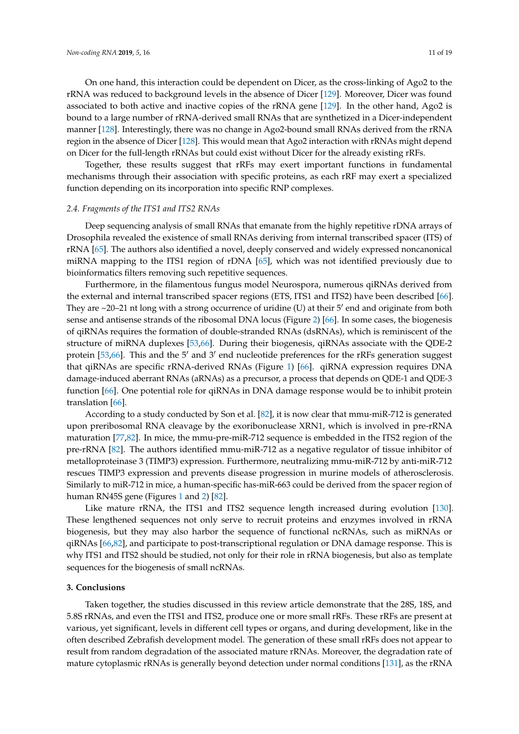On one hand, this interaction could be dependent on Dicer, as the cross-linking of Ago2 to the rRNA was reduced to background levels in the absence of Dicer [\[129\]](#page-18-8). Moreover, Dicer was found associated to both active and inactive copies of the rRNA gene [\[129\]](#page-18-8). In the other hand, Ago2 is bound to a large number of rRNA-derived small RNAs that are synthetized in a Dicer-independent manner [\[128\]](#page-18-7). Interestingly, there was no change in Ago2-bound small RNAs derived from the rRNA region in the absence of Dicer [\[128\]](#page-18-7). This would mean that Ago2 interaction with rRNAs might depend on Dicer for the full-length rRNAs but could exist without Dicer for the already existing rRFs.

Together, these results suggest that rRFs may exert important functions in fundamental mechanisms through their association with specific proteins, as each rRF may exert a specialized function depending on its incorporation into specific RNP complexes.

#### *2.4. Fragments of the ITS1 and ITS2 RNAs*

Deep sequencing analysis of small RNAs that emanate from the highly repetitive rDNA arrays of Drosophila revealed the existence of small RNAs deriving from internal transcribed spacer (ITS) of rRNA [\[65\]](#page-15-9). The authors also identified a novel, deeply conserved and widely expressed noncanonical miRNA mapping to the ITS1 region of rDNA [\[65\]](#page-15-9), which was not identified previously due to bioinformatics filters removing such repetitive sequences.

Furthermore, in the filamentous fungus model Neurospora, numerous qiRNAs derived from the external and internal transcribed spacer regions (ETS, ITS1 and ITS2) have been described [\[66\]](#page-15-10). They are  $\sim$ 20–21 nt long with a strong occurrence of uridine (U) at their  $5'$  end and originate from both sense and antisense strands of the ribosomal DNA locus (Figure [2\)](#page-11-0) [\[66\]](#page-15-10). In some cases, the biogenesis of qiRNAs requires the formation of double-stranded RNAs (dsRNAs), which is reminiscent of the structure of miRNA duplexes [\[53](#page-14-17)[,66\]](#page-15-10). During their biogenesis, qiRNAs associate with the QDE-2 protein [\[53](#page-14-17)[,66\]](#page-15-10). This and the  $5'$  and  $3'$  end nucleotide preferences for the rRFs generation suggest that qiRNAs are specific rRNA-derived RNAs (Figure [1\)](#page-5-0) [\[66\]](#page-15-10). qiRNA expression requires DNA damage-induced aberrant RNAs (aRNAs) as a precursor, a process that depends on QDE-1 and QDE-3 function [\[66\]](#page-15-10). One potential role for qiRNAs in DNA damage response would be to inhibit protein translation [\[66\]](#page-15-10).

According to a study conducted by Son et al. [\[82\]](#page-16-5), it is now clear that mmu-miR-712 is generated upon preribosomal RNA cleavage by the exoribonuclease XRN1, which is involved in pre-rRNA maturation [\[77](#page-16-1)[,82\]](#page-16-5). In mice, the mmu-pre-miR-712 sequence is embedded in the ITS2 region of the pre-rRNA [\[82\]](#page-16-5). The authors identified mmu-miR-712 as a negative regulator of tissue inhibitor of metalloproteinase 3 (TIMP3) expression. Furthermore, neutralizing mmu-miR-712 by anti-miR-712 rescues TIMP3 expression and prevents disease progression in murine models of atherosclerosis. Similarly to miR-712 in mice, a human-specific has-miR-663 could be derived from the spacer region of human RN45S gene (Figures [1](#page-5-0) and [2\)](#page-11-0) [\[82\]](#page-16-5).

Like mature rRNA, the ITS1 and ITS2 sequence length increased during evolution [\[130\]](#page-18-9). These lengthened sequences not only serve to recruit proteins and enzymes involved in rRNA biogenesis, but they may also harbor the sequence of functional ncRNAs, such as miRNAs or qiRNAs [\[66](#page-15-10)[,82\]](#page-16-5), and participate to post-transcriptional regulation or DNA damage response. This is why ITS1 and ITS2 should be studied, not only for their role in rRNA biogenesis, but also as template sequences for the biogenesis of small ncRNAs.

#### **3. Conclusions**

Taken together, the studies discussed in this review article demonstrate that the 28S, 18S, and 5.8S rRNAs, and even the ITS1 and ITS2, produce one or more small rRFs. These rRFs are present at various, yet significant, levels in different cell types or organs, and during development, like in the often described Zebrafish development model. The generation of these small rRFs does not appear to result from random degradation of the associated mature rRNAs. Moreover, the degradation rate of mature cytoplasmic rRNAs is generally beyond detection under normal conditions [\[131\]](#page-18-10), as the rRNA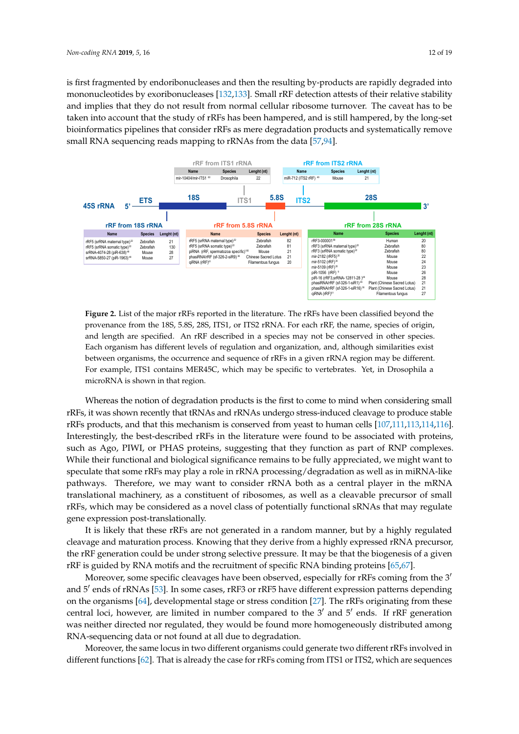is first fragmented by endoribonucleases and then the resulting by-products are rapidly degraded into mononucleotides by exoribonucleases [\[132,](#page-18-11)[133\]](#page-18-12). Small rRF detection attests of their relative stability and implies that they do not result from normal cellular ribosome turnover. The caveat has to be taken into account that the study of rRFs has been hampered, and is still hampered, by the long-set bioinformatics pipelines that consider rRFs as mere degradation products and systematically remove small RNA sequencing reads mapping to rRNAs from the data [[57](#page-15-2)[,94\]](#page-16-17).

<span id="page-11-0"></span>

**Figure 2.** List of the major rRFs reported in the literature. The rRFs have been classified beyond the provenance from the 18S, 5.8S, 28S, ITS1, or ITS2 rRNA. For each rRF, the name, species of origin, provenance from the 18S, 5.8S, 28S, 1991, or ITS2 reach reverse the real, the name, species of origin, and length are specified. An rRF described in a species may not be conserved in other species. length are specified. An rRF described in a species may not be conserved in other species. Each Each organism has different levels of regulation and organization, and, although similarities exist between organisms, the occurrence and sequence of rRFs in a given rRNA region may be different. For example, ITS1 contains MER45C, which may be specific to vertebrates. Yet, in Drosophila a  $\mathbf{P}^{\text{I}}$ A $\text{I}$  is a began in the tuncture. Yet, in Drosophia and  $\text{I}$ microRNA is shown in that region. microRNA is shown in that region. **Figure 2.** List of the major rRFs reported in the literature. The rRFs have been classified beyond the

rRFs, it was shown recently that tRNAs and rRNAs undergo stress-induced cleavage to produce stable rRFs products, and that this mechanism is conserved from yeast to human cells  $\frac{107,111,113,114,116}{107,111,113,114,116}$  $\frac{107,111,113,114,116}{107,111,113,114,116}$  $\frac{107,111,113,114,116}{107,111,113,114,116}$  $\frac{107,111,113,114,116}{107,111,113,114,116}$  $\frac{107,111,113,114,116}{107,111,113,114,116}$ . Interestingly, the best-described rRFs in the literature were found to be associated with proteins, such as Ago, PIWI, or PHAS proteins, suggesting that they function as part of RNP complexes. While their functional and biological significance remains to be fully appreciated, we might want to speculate that some rRFs may play a role in rRNA processing/degradation as well as in miRNA-like pathways. Therefore, we may want to consider rRNA both as a central player in the mRNA translational machinery, as a constituent of ribosomes, as well as a cleavable precursor of small rRFs, which may be considered as a novel class of potentially functional sRNAs that may regulate gene expression post-translationally. Whereas the notion of degradation products is the first to come to mind when considering small

It is likely that these rRFs are not generated in a random manner, but by a highly regulated cleavage and maturation process. Knowing that they derive from a highly expressed rRNA precursor, the rRF generation could be under strong selective pressure. It may be that the biogenesis of a given rRF is guided by RNA motifs and the recruitment of specific RNA binding proteins [\[65,](#page-15-9)[67\]](#page-15-11).

Moreover, some specific cleavages have been observed, especially for rRFs coming from the 3<sup>t</sup> and 5' ends of rRNAs [\[53\]](#page-14-17). In some cases, rRF3 or rRF5 have different expression patterns depending on the organisms [\[64\]](#page-15-8), developmental stage or stress condition [\[27\]](#page-13-13). The rRFs originating from these central loci, however, are limited in number compared to the  $3'$  and  $5'$  ends. If rRF generation was neither directed nor regulated, they would be found more homogeneously distributed among RNA-sequencing data or not found at all due to degradation.

Moreover, the same locus in two different organisms could generate two different rRFs involved in different functions [\[62\]](#page-15-6). That is already the case for rRFs coming from ITS1 or ITS2, which are sequences in different functions  $\frac{6}{5}$ . That is already the case for  $\frac{1}{1}$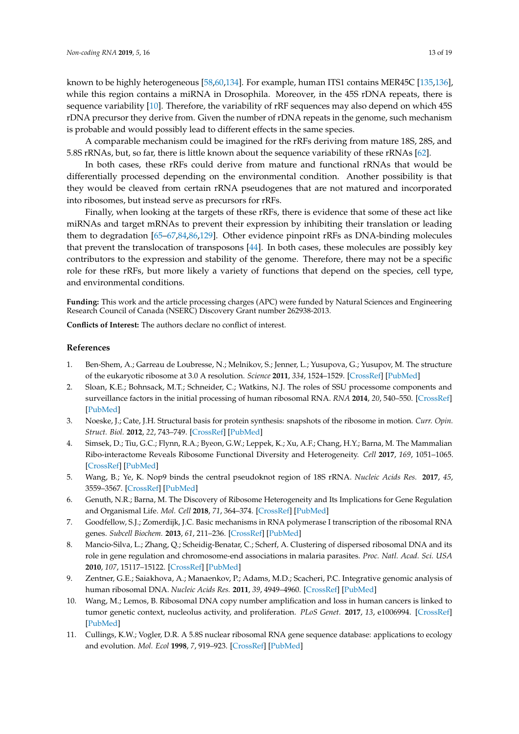known to be highly heterogeneous [\[58,](#page-15-3)[60,](#page-15-5)[134\]](#page-18-13). For example, human ITS1 contains MER45C [\[135](#page-18-14)[,136\]](#page-18-15), while this region contains a miRNA in Drosophila. Moreover, in the 45S rDNA repeats, there is sequence variability [\[10\]](#page-12-9). Therefore, the variability of rRF sequences may also depend on which 45S rDNA precursor they derive from. Given the number of rDNA repeats in the genome, such mechanism is probable and would possibly lead to different effects in the same species.

A comparable mechanism could be imagined for the rRFs deriving from mature 18S, 28S, and 5.8S rRNAs, but, so far, there is little known about the sequence variability of these rRNAs [\[62\]](#page-15-6).

In both cases, these rRFs could derive from mature and functional rRNAs that would be differentially processed depending on the environmental condition. Another possibility is that they would be cleaved from certain rRNA pseudogenes that are not matured and incorporated into ribosomes, but instead serve as precursors for rRFs.

Finally, when looking at the targets of these rRFs, there is evidence that some of these act like miRNAs and target mRNAs to prevent their expression by inhibiting their translation or leading them to degradation [\[65–](#page-15-9)[67,](#page-15-11)[84,](#page-16-7)[86,](#page-16-9)[129\]](#page-18-8). Other evidence pinpoint rRFs as DNA-binding molecules that prevent the translocation of transposons [\[44\]](#page-14-10). In both cases, these molecules are possibly key contributors to the expression and stability of the genome. Therefore, there may not be a specific role for these rRFs, but more likely a variety of functions that depend on the species, cell type, and environmental conditions.

**Funding:** This work and the article processing charges (APC) were funded by Natural Sciences and Engineering Research Council of Canada (NSERC) Discovery Grant number 262938-2013.

**Conflicts of Interest:** The authors declare no conflict of interest.

#### **References**

- <span id="page-12-0"></span>1. Ben-Shem, A.; Garreau de Loubresse, N.; Melnikov, S.; Jenner, L.; Yusupova, G.; Yusupov, M. The structure of the eukaryotic ribosome at 3.0 A resolution. *Science* **2011**, *334*, 1524–1529. [\[CrossRef\]](http://dx.doi.org/10.1126/science.1212642) [\[PubMed\]](http://www.ncbi.nlm.nih.gov/pubmed/22096102)
- <span id="page-12-1"></span>2. Sloan, K.E.; Bohnsack, M.T.; Schneider, C.; Watkins, N.J. The roles of SSU processome components and surveillance factors in the initial processing of human ribosomal RNA. *RNA* **2014**, *20*, 540–550. [\[CrossRef\]](http://dx.doi.org/10.1261/rna.043471.113) [\[PubMed\]](http://www.ncbi.nlm.nih.gov/pubmed/24550520)
- <span id="page-12-2"></span>3. Noeske, J.; Cate, J.H. Structural basis for protein synthesis: snapshots of the ribosome in motion. *Curr. Opin. Struct. Biol.* **2012**, *22*, 743–749. [\[CrossRef\]](http://dx.doi.org/10.1016/j.sbi.2012.07.011) [\[PubMed\]](http://www.ncbi.nlm.nih.gov/pubmed/22871550)
- <span id="page-12-3"></span>4. Simsek, D.; Tiu, G.C.; Flynn, R.A.; Byeon, G.W.; Leppek, K.; Xu, A.F.; Chang, H.Y.; Barna, M. The Mammalian Ribo-interactome Reveals Ribosome Functional Diversity and Heterogeneity. *Cell* **2017**, *169*, 1051–1065. [\[CrossRef\]](http://dx.doi.org/10.1016/j.cell.2017.05.022) [\[PubMed\]](http://www.ncbi.nlm.nih.gov/pubmed/28575669)
- <span id="page-12-4"></span>5. Wang, B.; Ye, K. Nop9 binds the central pseudoknot region of 18S rRNA. *Nucleic Acids Res.* **2017**, *45*, 3559–3567. [\[CrossRef\]](http://dx.doi.org/10.1093/nar/gkw1323) [\[PubMed\]](http://www.ncbi.nlm.nih.gov/pubmed/28053123)
- <span id="page-12-5"></span>6. Genuth, N.R.; Barna, M. The Discovery of Ribosome Heterogeneity and Its Implications for Gene Regulation and Organismal Life. *Mol. Cell* **2018**, *71*, 364–374. [\[CrossRef\]](http://dx.doi.org/10.1016/j.molcel.2018.07.018) [\[PubMed\]](http://www.ncbi.nlm.nih.gov/pubmed/30075139)
- <span id="page-12-6"></span>7. Goodfellow, S.J.; Zomerdijk, J.C. Basic mechanisms in RNA polymerase I transcription of the ribosomal RNA genes. *Subcell Biochem.* **2013**, *61*, 211–236. [\[CrossRef\]](http://dx.doi.org/10.1007/978-94-007-4525-4_10) [\[PubMed\]](http://www.ncbi.nlm.nih.gov/pubmed/23150253)
- <span id="page-12-8"></span>8. Mancio-Silva, L.; Zhang, Q.; Scheidig-Benatar, C.; Scherf, A. Clustering of dispersed ribosomal DNA and its role in gene regulation and chromosome-end associations in malaria parasites. *Proc. Natl. Acad. Sci. USA* **2010**, *107*, 15117–15122. [\[CrossRef\]](http://dx.doi.org/10.1073/pnas.1001045107) [\[PubMed\]](http://www.ncbi.nlm.nih.gov/pubmed/20696894)
- <span id="page-12-7"></span>9. Zentner, G.E.; Saiakhova, A.; Manaenkov, P.; Adams, M.D.; Scacheri, P.C. Integrative genomic analysis of human ribosomal DNA. *Nucleic Acids Res.* **2011**, *39*, 4949–4960. [\[CrossRef\]](http://dx.doi.org/10.1093/nar/gkq1326) [\[PubMed\]](http://www.ncbi.nlm.nih.gov/pubmed/21355038)
- <span id="page-12-9"></span>10. Wang, M.; Lemos, B. Ribosomal DNA copy number amplification and loss in human cancers is linked to tumor genetic context, nucleolus activity, and proliferation. *PLoS Genet.* **2017**, *13*, e1006994. [\[CrossRef\]](http://dx.doi.org/10.1371/journal.pgen.1006994) [\[PubMed\]](http://www.ncbi.nlm.nih.gov/pubmed/28880866)
- <span id="page-12-10"></span>11. Cullings, K.W.; Vogler, D.R. A 5.8S nuclear ribosomal RNA gene sequence database: applications to ecology and evolution. *Mol. Ecol* **1998**, *7*, 919–923. [\[CrossRef\]](http://dx.doi.org/10.1046/j.1365-294x.1998.00409.x) [\[PubMed\]](http://www.ncbi.nlm.nih.gov/pubmed/9691493)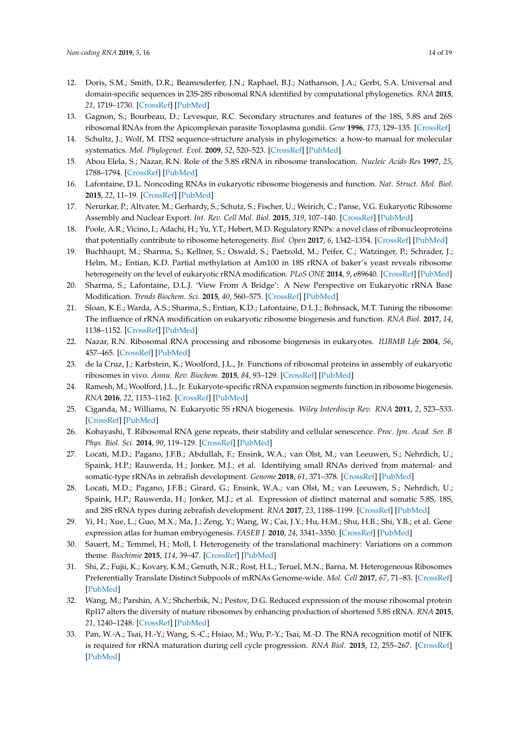- <span id="page-13-0"></span>12. Doris, S.M.; Smith, D.R.; Beamesderfer, J.N.; Raphael, B.J.; Nathanson, J.A.; Gerbi, S.A. Universal and domain-specific sequences in 23S-28S ribosomal RNA identified by computational phylogenetics. *RNA* **2015**, *21*, 1719–1730. [\[CrossRef\]](http://dx.doi.org/10.1261/rna.051144.115) [\[PubMed\]](http://www.ncbi.nlm.nih.gov/pubmed/26283689)
- <span id="page-13-1"></span>13. Gagnon, S.; Bourbeau, D.; Levesque, R.C. Secondary structures and features of the 18S, 5.8S and 26S ribosomal RNAs from the Apicomplexan parasite Toxoplasma gondii. *Gene* **1996**, *173*, 129–135. [\[CrossRef\]](http://dx.doi.org/10.1016/0378-1119(96)00215-6)
- <span id="page-13-2"></span>14. Schultz, J.; Wolf, M. ITS2 sequence-structure analysis in phylogenetics: a how-to manual for molecular systematics. *Mol. Phylogenet. Evol.* **2009**, *52*, 520–523. [\[CrossRef\]](http://dx.doi.org/10.1016/j.ympev.2009.01.008) [\[PubMed\]](http://www.ncbi.nlm.nih.gov/pubmed/19489124)
- <span id="page-13-3"></span>15. Abou Elela, S.; Nazar, R.N. Role of the 5.8S rRNA in ribosome translocation. *Nucleic Acids Res* **1997**, *25*, 1788–1794. [\[CrossRef\]](http://dx.doi.org/10.1093/nar/25.9.1788) [\[PubMed\]](http://www.ncbi.nlm.nih.gov/pubmed/9108162)
- <span id="page-13-4"></span>16. Lafontaine, D.L. Noncoding RNAs in eukaryotic ribosome biogenesis and function. *Nat. Struct. Mol. Biol.* **2015**, *22*, 11–19. [\[CrossRef\]](http://dx.doi.org/10.1038/nsmb.2939) [\[PubMed\]](http://www.ncbi.nlm.nih.gov/pubmed/25565028)
- 17. Nerurkar, P.; Altvater, M.; Gerhardy, S.; Schutz, S.; Fischer, U.; Weirich, C.; Panse, V.G. Eukaryotic Ribosome Assembly and Nuclear Export. *Int. Rev. Cell Mol. Biol.* **2015**, *319*, 107–140. [\[CrossRef\]](http://dx.doi.org/10.1016/bs.ircmb.2015.07.002) [\[PubMed\]](http://www.ncbi.nlm.nih.gov/pubmed/26404467)
- <span id="page-13-5"></span>18. Poole, A.R.; Vicino, I.; Adachi, H.; Yu, Y.T.; Hebert, M.D. Regulatory RNPs: a novel class of ribonucleoproteins that potentially contribute to ribosome heterogeneity. *Biol. Open* **2017**, *6*, 1342–1354. [\[CrossRef\]](http://dx.doi.org/10.1242/bio.028092) [\[PubMed\]](http://www.ncbi.nlm.nih.gov/pubmed/28808137)
- <span id="page-13-6"></span>19. Buchhaupt, M.; Sharma, S.; Kellner, S.; Oswald, S.; Paetzold, M.; Peifer, C.; Watzinger, P.; Schrader, J.; Helm, M.; Entian, K.D. Partial methylation at Am100 in 18S rRNA of baker's yeast reveals ribosome heterogeneity on the level of eukaryotic rRNA modification. *PLoS ONE* **2014**, *9*, e89640. [\[CrossRef\]](http://dx.doi.org/10.1371/journal.pone.0089640) [\[PubMed\]](http://www.ncbi.nlm.nih.gov/pubmed/24586927)
- 20. Sharma, S.; Lafontaine, D.L.J. 'View From A Bridge': A New Perspective on Eukaryotic rRNA Base Modification. *Trends Biochem. Sci.* **2015**, *40*, 560–575. [\[CrossRef\]](http://dx.doi.org/10.1016/j.tibs.2015.07.008) [\[PubMed\]](http://www.ncbi.nlm.nih.gov/pubmed/26410597)
- <span id="page-13-7"></span>21. Sloan, K.E.; Warda, A.S.; Sharma, S.; Entian, K.D.; Lafontaine, D.L.J.; Bohnsack, M.T. Tuning the ribosome: The influence of rRNA modification on eukaryotic ribosome biogenesis and function. *RNA Biol.* **2017**, *14*, 1138–1152. [\[CrossRef\]](http://dx.doi.org/10.1080/15476286.2016.1259781) [\[PubMed\]](http://www.ncbi.nlm.nih.gov/pubmed/27911188)
- <span id="page-13-8"></span>22. Nazar, R.N. Ribosomal RNA processing and ribosome biogenesis in eukaryotes. *IUBMB Life* **2004**, *56*, 457–465. [\[CrossRef\]](http://dx.doi.org/10.1080/15216540400010867) [\[PubMed\]](http://www.ncbi.nlm.nih.gov/pubmed/15545225)
- <span id="page-13-9"></span>23. de la Cruz, J.; Karbstein, K.; Woolford, J.L., Jr. Functions of ribosomal proteins in assembly of eukaryotic ribosomes in vivo. *Annu. Rev. Biochem.* **2015**, *84*, 93–129. [\[CrossRef\]](http://dx.doi.org/10.1146/annurev-biochem-060614-033917) [\[PubMed\]](http://www.ncbi.nlm.nih.gov/pubmed/25706898)
- <span id="page-13-10"></span>24. Ramesh, M.; Woolford, J.L., Jr. Eukaryote-specific rRNA expansion segments function in ribosome biogenesis. *RNA* **2016**, *22*, 1153–1162. [\[CrossRef\]](http://dx.doi.org/10.1261/rna.056705.116) [\[PubMed\]](http://www.ncbi.nlm.nih.gov/pubmed/27317789)
- <span id="page-13-11"></span>25. Ciganda, M.; Williams, N. Eukaryotic 5S rRNA biogenesis. *Wiley Interdiscip Rev. RNA* **2011**, *2*, 523–533. [\[CrossRef\]](http://dx.doi.org/10.1002/wrna.74) [\[PubMed\]](http://www.ncbi.nlm.nih.gov/pubmed/21957041)
- <span id="page-13-12"></span>26. Kobayashi, T. Ribosomal RNA gene repeats, their stability and cellular senescence. *Proc. Jpn. Acad. Ser. B Phys. Biol. Sci.* **2014**, *90*, 119–129. [\[CrossRef\]](http://dx.doi.org/10.2183/pjab.90.119) [\[PubMed\]](http://www.ncbi.nlm.nih.gov/pubmed/24727936)
- <span id="page-13-13"></span>27. Locati, M.D.; Pagano, J.F.B.; Abdullah, F.; Ensink, W.A.; van Olst, M.; van Leeuwen, S.; Nehrdich, U.; Spaink, H.P.; Rauwerda, H.; Jonker, M.J.; et al. Identifying small RNAs derived from maternal- and somatic-type rRNAs in zebrafish development. *Genome* **2018**, *61*, 371–378. [\[CrossRef\]](http://dx.doi.org/10.1139/gen-2017-0202) [\[PubMed\]](http://www.ncbi.nlm.nih.gov/pubmed/29425468)
- <span id="page-13-14"></span>28. Locati, M.D.; Pagano, J.F.B.; Girard, G.; Ensink, W.A.; van Olst, M.; van Leeuwen, S.; Nehrdich, U.; Spaink, H.P.; Rauwerda, H.; Jonker, M.J.; et al. Expression of distinct maternal and somatic 5.8S, 18S, and 28S rRNA types during zebrafish development. *RNA* **2017**, *23*, 1188–1199. [\[CrossRef\]](http://dx.doi.org/10.1261/rna.061515.117) [\[PubMed\]](http://www.ncbi.nlm.nih.gov/pubmed/28500251)
- <span id="page-13-15"></span>29. Yi, H.; Xue, L.; Guo, M.X.; Ma, J.; Zeng, Y.; Wang, W.; Cai, J.Y.; Hu, H.M.; Shu, H.B.; Shi, Y.B.; et al. Gene expression atlas for human embryogenesis. *FASEB J.* **2010**, *24*, 3341–3350. [\[CrossRef\]](http://dx.doi.org/10.1096/fj.10-158782) [\[PubMed\]](http://www.ncbi.nlm.nih.gov/pubmed/20430792)
- <span id="page-13-16"></span>30. Sauert, M.; Temmel, H.; Moll, I. Heterogeneity of the translational machinery: Variations on a common theme. *Biochimie* **2015**, *114*, 39–47. [\[CrossRef\]](http://dx.doi.org/10.1016/j.biochi.2014.12.011) [\[PubMed\]](http://www.ncbi.nlm.nih.gov/pubmed/25542647)
- 31. Shi, Z.; Fujii, K.; Kovary, K.M.; Genuth, N.R.; Rost, H.L.; Teruel, M.N.; Barna, M. Heterogeneous Ribosomes Preferentially Translate Distinct Subpools of mRNAs Genome-wide. *Mol. Cell* **2017**, *67*, 71–83. [\[CrossRef\]](http://dx.doi.org/10.1016/j.molcel.2017.05.021) [\[PubMed\]](http://www.ncbi.nlm.nih.gov/pubmed/28625553)
- <span id="page-13-17"></span>32. Wang, M.; Parshin, A.V.; Shcherbik, N.; Pestov, D.G. Reduced expression of the mouse ribosomal protein Rpl17 alters the diversity of mature ribosomes by enhancing production of shortened 5.8S rRNA. *RNA* **2015**, *21*, 1240–1248. [\[CrossRef\]](http://dx.doi.org/10.1261/rna.051169.115) [\[PubMed\]](http://www.ncbi.nlm.nih.gov/pubmed/25995445)
- <span id="page-13-18"></span>33. Pan, W.-A.; Tsai, H.-Y.; Wang, S.-C.; Hsiao, M.; Wu, P.-Y.; Tsai, M.-D. The RNA recognition motif of NIFK is required for rRNA maturation during cell cycle progression. *RNA Biol.* **2015**, *12*, 255–267. [\[CrossRef\]](http://dx.doi.org/10.1080/15476286.2015.1017221) [\[PubMed\]](http://www.ncbi.nlm.nih.gov/pubmed/25826659)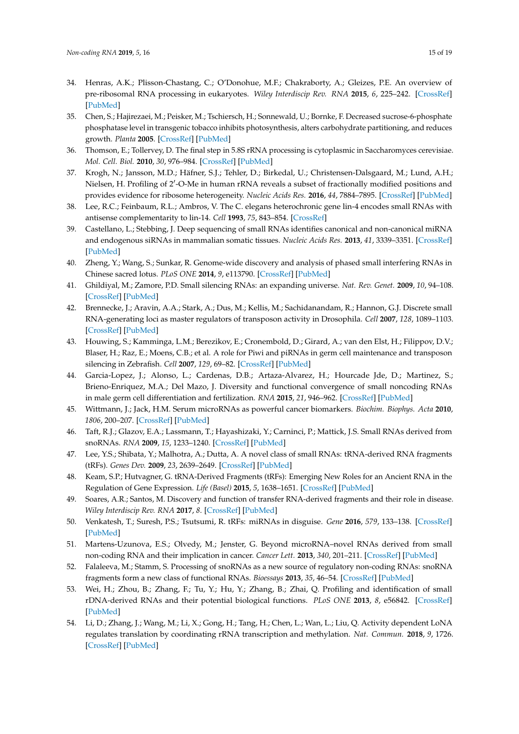- <span id="page-14-0"></span>34. Henras, A.K.; Plisson-Chastang, C.; O'Donohue, M.F.; Chakraborty, A.; Gleizes, P.E. An overview of pre-ribosomal RNA processing in eukaryotes. *Wiley Interdiscip Rev. RNA* **2015**, *6*, 225–242. [\[CrossRef\]](http://dx.doi.org/10.1002/wrna.1269) [\[PubMed\]](http://www.ncbi.nlm.nih.gov/pubmed/25346433)
- <span id="page-14-1"></span>35. Chen, S.; Hajirezaei, M.; Peisker, M.; Tschiersch, H.; Sonnewald, U.; Bornke, F. Decreased sucrose-6-phosphate phosphatase level in transgenic tobacco inhibits photosynthesis, alters carbohydrate partitioning, and reduces growth. *Planta* **2005**. [\[CrossRef\]](http://dx.doi.org/10.1007/s00425-004-1458-4) [\[PubMed\]](http://www.ncbi.nlm.nih.gov/pubmed/15657716)
- <span id="page-14-2"></span>36. Thomson, E.; Tollervey, D. The final step in 5.8S rRNA processing is cytoplasmic in Saccharomyces cerevisiae. *Mol. Cell. Biol.* **2010**, *30*, 976–984. [\[CrossRef\]](http://dx.doi.org/10.1128/MCB.01359-09) [\[PubMed\]](http://www.ncbi.nlm.nih.gov/pubmed/20008552)
- <span id="page-14-3"></span>37. Krogh, N.; Jansson, M.D.; Häfner, S.J.; Tehler, D.; Birkedal, U.; Christensen-Dalsgaard, M.; Lund, A.H.; Nielsen, H. Profiling of 2'-O-Me in human rRNA reveals a subset of fractionally modified positions and provides evidence for ribosome heterogeneity. *Nucleic Acids Res.* **2016**, *44*, 7884–7895. [\[CrossRef\]](http://dx.doi.org/10.1093/nar/gkw482) [\[PubMed\]](http://www.ncbi.nlm.nih.gov/pubmed/27257078)
- <span id="page-14-4"></span>38. Lee, R.C.; Feinbaum, R.L.; Ambros, V. The C. elegans heterochronic gene lin-4 encodes small RNAs with antisense complementarity to lin-14. *Cell* **1993**, *75*, 843–854. [\[CrossRef\]](http://dx.doi.org/10.1016/0092-8674(93)90529-Y)
- <span id="page-14-5"></span>39. Castellano, L.; Stebbing, J. Deep sequencing of small RNAs identifies canonical and non-canonical miRNA and endogenous siRNAs in mammalian somatic tissues. *Nucleic Acids Res.* **2013**, *41*, 3339–3351. [\[CrossRef\]](http://dx.doi.org/10.1093/nar/gks1474) [\[PubMed\]](http://www.ncbi.nlm.nih.gov/pubmed/23325850)
- <span id="page-14-6"></span>40. Zheng, Y.; Wang, S.; Sunkar, R. Genome-wide discovery and analysis of phased small interfering RNAs in Chinese sacred lotus. *PLoS ONE* **2014**, *9*, e113790. [\[CrossRef\]](http://dx.doi.org/10.1371/journal.pone.0113790) [\[PubMed\]](http://www.ncbi.nlm.nih.gov/pubmed/25469507)
- <span id="page-14-7"></span>41. Ghildiyal, M.; Zamore, P.D. Small silencing RNAs: an expanding universe. *Nat. Rev. Genet.* **2009**, *10*, 94–108. [\[CrossRef\]](http://dx.doi.org/10.1038/nrg2504) [\[PubMed\]](http://www.ncbi.nlm.nih.gov/pubmed/19148191)
- <span id="page-14-8"></span>42. Brennecke, J.; Aravin, A.A.; Stark, A.; Dus, M.; Kellis, M.; Sachidanandam, R.; Hannon, G.J. Discrete small RNA-generating loci as master regulators of transposon activity in Drosophila. *Cell* **2007**, *128*, 1089–1103. [\[CrossRef\]](http://dx.doi.org/10.1016/j.cell.2007.01.043) [\[PubMed\]](http://www.ncbi.nlm.nih.gov/pubmed/17346786)
- <span id="page-14-9"></span>43. Houwing, S.; Kamminga, L.M.; Berezikov, E.; Cronembold, D.; Girard, A.; van den Elst, H.; Filippov, D.V.; Blaser, H.; Raz, E.; Moens, C.B.; et al. A role for Piwi and piRNAs in germ cell maintenance and transposon silencing in Zebrafish. *Cell* **2007**, *129*, 69–82. [\[CrossRef\]](http://dx.doi.org/10.1016/j.cell.2007.03.026) [\[PubMed\]](http://www.ncbi.nlm.nih.gov/pubmed/17418787)
- <span id="page-14-10"></span>44. Garcia-Lopez, J.; Alonso, L.; Cardenas, D.B.; Artaza-Alvarez, H.; Hourcade Jde, D.; Martinez, S.; Brieno-Enriquez, M.A.; Del Mazo, J. Diversity and functional convergence of small noncoding RNAs in male germ cell differentiation and fertilization. *RNA* **2015**, *21*, 946–962. [\[CrossRef\]](http://dx.doi.org/10.1261/rna.048215.114) [\[PubMed\]](http://www.ncbi.nlm.nih.gov/pubmed/25805854)
- <span id="page-14-11"></span>45. Wittmann, J.; Jack, H.M. Serum microRNAs as powerful cancer biomarkers. *Biochim. Biophys. Acta* **2010**, *1806*, 200–207. [\[CrossRef\]](http://dx.doi.org/10.1016/j.bbcan.2010.07.002) [\[PubMed\]](http://www.ncbi.nlm.nih.gov/pubmed/20637263)
- <span id="page-14-12"></span>46. Taft, R.J.; Glazov, E.A.; Lassmann, T.; Hayashizaki, Y.; Carninci, P.; Mattick, J.S. Small RNAs derived from snoRNAs. *RNA* **2009**, *15*, 1233–1240. [\[CrossRef\]](http://dx.doi.org/10.1261/rna.1528909) [\[PubMed\]](http://www.ncbi.nlm.nih.gov/pubmed/19474147)
- <span id="page-14-13"></span>47. Lee, Y.S.; Shibata, Y.; Malhotra, A.; Dutta, A. A novel class of small RNAs: tRNA-derived RNA fragments (tRFs). *Genes Dev.* **2009**, *23*, 2639–2649. [\[CrossRef\]](http://dx.doi.org/10.1101/gad.1837609) [\[PubMed\]](http://www.ncbi.nlm.nih.gov/pubmed/19933153)
- 48. Keam, S.P.; Hutvagner, G. tRNA-Derived Fragments (tRFs): Emerging New Roles for an Ancient RNA in the Regulation of Gene Expression. *Life (Basel)* **2015**, *5*, 1638–1651. [\[CrossRef\]](http://dx.doi.org/10.3390/life5041638) [\[PubMed\]](http://www.ncbi.nlm.nih.gov/pubmed/26703738)
- 49. Soares, A.R.; Santos, M. Discovery and function of transfer RNA-derived fragments and their role in disease. *Wiley Interdiscip Rev. RNA* **2017**, *8*. [\[CrossRef\]](http://dx.doi.org/10.1002/wrna.1423) [\[PubMed\]](http://www.ncbi.nlm.nih.gov/pubmed/28608481)
- <span id="page-14-14"></span>50. Venkatesh, T.; Suresh, P.S.; Tsutsumi, R. tRFs: miRNAs in disguise. *Gene* **2016**, *579*, 133–138. [\[CrossRef\]](http://dx.doi.org/10.1016/j.gene.2015.12.058) [\[PubMed\]](http://www.ncbi.nlm.nih.gov/pubmed/26743126)
- <span id="page-14-15"></span>51. Martens-Uzunova, E.S.; Olvedy, M.; Jenster, G. Beyond microRNA–novel RNAs derived from small non-coding RNA and their implication in cancer. *Cancer Lett.* **2013**, *340*, 201–211. [\[CrossRef\]](http://dx.doi.org/10.1016/j.canlet.2012.11.058) [\[PubMed\]](http://www.ncbi.nlm.nih.gov/pubmed/23376637)
- <span id="page-14-16"></span>52. Falaleeva, M.; Stamm, S. Processing of snoRNAs as a new source of regulatory non-coding RNAs: snoRNA fragments form a new class of functional RNAs. *Bioessays* **2013**, *35*, 46–54. [\[CrossRef\]](http://dx.doi.org/10.1002/bies.201200117) [\[PubMed\]](http://www.ncbi.nlm.nih.gov/pubmed/23180440)
- <span id="page-14-17"></span>53. Wei, H.; Zhou, B.; Zhang, F.; Tu, Y.; Hu, Y.; Zhang, B.; Zhai, Q. Profiling and identification of small rDNA-derived RNAs and their potential biological functions. *PLoS ONE* **2013**, *8*, e56842. [\[CrossRef\]](http://dx.doi.org/10.1371/journal.pone.0056842) [\[PubMed\]](http://www.ncbi.nlm.nih.gov/pubmed/23418607)
- <span id="page-14-18"></span>54. Li, D.; Zhang, J.; Wang, M.; Li, X.; Gong, H.; Tang, H.; Chen, L.; Wan, L.; Liu, Q. Activity dependent LoNA regulates translation by coordinating rRNA transcription and methylation. *Nat. Commun.* **2018**, *9*, 1726. [\[CrossRef\]](http://dx.doi.org/10.1038/s41467-018-04072-4) [\[PubMed\]](http://www.ncbi.nlm.nih.gov/pubmed/29712923)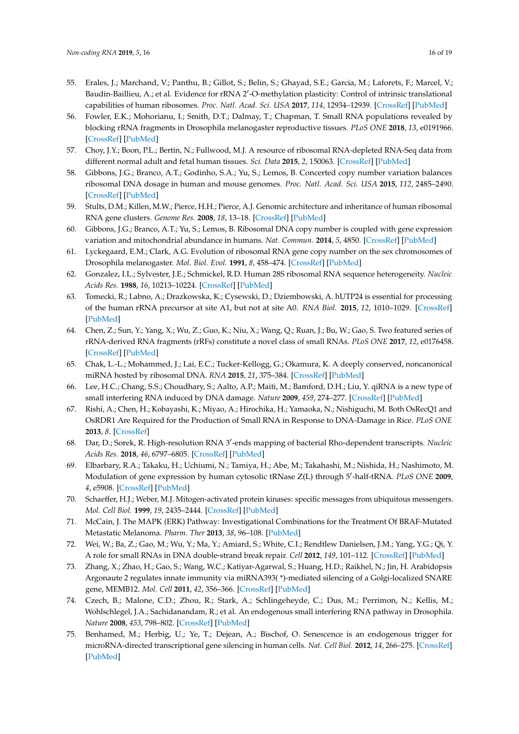- <span id="page-15-0"></span>55. Erales, J.; Marchand, V.; Panthu, B.; Gillot, S.; Belin, S.; Ghayad, S.E.; Garcia, M.; Laforets, F.; Marcel, V.; Baudin-Baillieu, A.; et al. Evidence for rRNA 2'-O-methylation plasticity: Control of intrinsic translational capabilities of human ribosomes. *Proc. Natl. Acad. Sci. USA* **2017**, *114*, 12934–12939. [\[CrossRef\]](http://dx.doi.org/10.1073/pnas.1707674114) [\[PubMed\]](http://www.ncbi.nlm.nih.gov/pubmed/29158377)
- <span id="page-15-1"></span>56. Fowler, E.K.; Mohorianu, I.; Smith, D.T.; Dalmay, T.; Chapman, T. Small RNA populations revealed by blocking rRNA fragments in Drosophila melanogaster reproductive tissues. *PLoS ONE* **2018**, *13*, e0191966. [\[CrossRef\]](http://dx.doi.org/10.1371/journal.pone.0191966) [\[PubMed\]](http://www.ncbi.nlm.nih.gov/pubmed/29474379)
- <span id="page-15-2"></span>57. Choy, J.Y.; Boon, P.L.; Bertin, N.; Fullwood, M.J. A resource of ribosomal RNA-depleted RNA-Seq data from different normal adult and fetal human tissues. *Sci. Data* **2015**, *2*, 150063. [\[CrossRef\]](http://dx.doi.org/10.1038/sdata.2015.63) [\[PubMed\]](http://www.ncbi.nlm.nih.gov/pubmed/26594381)
- <span id="page-15-3"></span>58. Gibbons, J.G.; Branco, A.T.; Godinho, S.A.; Yu, S.; Lemos, B. Concerted copy number variation balances ribosomal DNA dosage in human and mouse genomes. *Proc. Natl. Acad. Sci. USA* **2015**, *112*, 2485–2490. [\[CrossRef\]](http://dx.doi.org/10.1073/pnas.1416878112) [\[PubMed\]](http://www.ncbi.nlm.nih.gov/pubmed/25583482)
- 59. Stults, D.M.; Killen, M.W.; Pierce, H.H.; Pierce, A.J. Genomic architecture and inheritance of human ribosomal RNA gene clusters. *Genome Res.* **2008**, *18*, 13–18. [\[CrossRef\]](http://dx.doi.org/10.1101/gr.6858507) [\[PubMed\]](http://www.ncbi.nlm.nih.gov/pubmed/18025267)
- <span id="page-15-5"></span>60. Gibbons, J.G.; Branco, A.T.; Yu, S.; Lemos, B. Ribosomal DNA copy number is coupled with gene expression variation and mitochondrial abundance in humans. *Nat. Commun.* **2014**, *5*, 4850. [\[CrossRef\]](http://dx.doi.org/10.1038/ncomms5850) [\[PubMed\]](http://www.ncbi.nlm.nih.gov/pubmed/25209200)
- <span id="page-15-4"></span>61. Lyckegaard, E.M.; Clark, A.G. Evolution of ribosomal RNA gene copy number on the sex chromosomes of Drosophila melanogaster. *Mol. Biol. Evol.* **1991**, *8*, 458–474. [\[CrossRef\]](http://dx.doi.org/10.1093/oxfordjournals.molbev.a040664) [\[PubMed\]](http://www.ncbi.nlm.nih.gov/pubmed/1921706)
- <span id="page-15-6"></span>62. Gonzalez, I.L.; Sylvester, J.E.; Schmickel, R.D. Human 28S ribosomal RNA sequence heterogeneity. *Nucleic Acids Res.* **1988**, *16*, 10213–10224. [\[CrossRef\]](http://dx.doi.org/10.1093/nar/16.21.10213) [\[PubMed\]](http://www.ncbi.nlm.nih.gov/pubmed/3194198)
- <span id="page-15-7"></span>63. Tomecki, R.; Labno, A.; Drazkowska, K.; Cysewski, D.; Dziembowski, A. hUTP24 is essential for processing of the human rRNA precursor at site A1, but not at site A0. *RNA Biol.* **2015**, *12*, 1010–1029. [\[CrossRef\]](http://dx.doi.org/10.1080/15476286.2015.1073437) [\[PubMed\]](http://www.ncbi.nlm.nih.gov/pubmed/26237581)
- <span id="page-15-8"></span>64. Chen, Z.; Sun, Y.; Yang, X.; Wu, Z.; Guo, K.; Niu, X.; Wang, Q.; Ruan, J.; Bu, W.; Gao, S. Two featured series of rRNA-derived RNA fragments (rRFs) constitute a novel class of small RNAs. *PLoS ONE* **2017**, *12*, e0176458. [\[CrossRef\]](http://dx.doi.org/10.1371/journal.pone.0176458) [\[PubMed\]](http://www.ncbi.nlm.nih.gov/pubmed/28441451)
- <span id="page-15-9"></span>65. Chak, L.-L.; Mohammed, J.; Lai, E.C.; Tucker-Kellogg, G.; Okamura, K. A deeply conserved, noncanonical miRNA hosted by ribosomal DNA. *RNA* **2015**, *21*, 375–384. [\[CrossRef\]](http://dx.doi.org/10.1261/rna.049098.114) [\[PubMed\]](http://www.ncbi.nlm.nih.gov/pubmed/25605965)
- <span id="page-15-10"></span>66. Lee, H.C.; Chang, S.S.; Choudhary, S.; Aalto, A.P.; Maiti, M.; Bamford, D.H.; Liu, Y. qiRNA is a new type of small interfering RNA induced by DNA damage. *Nature* **2009**, *459*, 274–277. [\[CrossRef\]](http://dx.doi.org/10.1038/nature08041) [\[PubMed\]](http://www.ncbi.nlm.nih.gov/pubmed/19444217)
- <span id="page-15-11"></span>67. Rishi, A.; Chen, H.; Kobayashi, K.; Miyao, A.; Hirochika, H.; Yamaoka, N.; Nishiguchi, M. Both OsRecQ1 and OsRDR1 Are Required for the Production of Small RNA in Response to DNA-Damage in Rice. *PLoS ONE* **2013**, *8*. [\[CrossRef\]](http://dx.doi.org/10.1371/journal.pone.0055252)
- <span id="page-15-12"></span>68. Dar, D.; Sorek, R. High-resolution RNA 3'-ends mapping of bacterial Rho-dependent transcripts. Nucleic *Acids Res.* **2018**, *46*, 6797–6805. [\[CrossRef\]](http://dx.doi.org/10.1093/nar/gky274) [\[PubMed\]](http://www.ncbi.nlm.nih.gov/pubmed/29669055)
- <span id="page-15-13"></span>69. Elbarbary, R.A.; Takaku, H.; Uchiumi, N.; Tamiya, H.; Abe, M.; Takahashi, M.; Nishida, H.; Nashimoto, M. Modulation of gene expression by human cytosolic tRNase Z(L) through 5'-half-tRNA. *PLoS ONE* 2009, *4*, e5908. [\[CrossRef\]](http://dx.doi.org/10.1371/journal.pone.0005908) [\[PubMed\]](http://www.ncbi.nlm.nih.gov/pubmed/19526060)
- <span id="page-15-14"></span>70. Schaeffer, H.J.; Weber, M.J. Mitogen-activated protein kinases: specific messages from ubiquitous messengers. *Mol. Cell Biol.* **1999**, *19*, 2435–2444. [\[CrossRef\]](http://dx.doi.org/10.1128/MCB.19.4.2435) [\[PubMed\]](http://www.ncbi.nlm.nih.gov/pubmed/10082509)
- <span id="page-15-15"></span>71. McCain, J. The MAPK (ERK) Pathway: Investigational Combinations for the Treatment Of BRAF-Mutated Metastatic Melanoma. *Pharm. Ther* **2013**, *38*, 96–108. [\[PubMed\]](http://www.ncbi.nlm.nih.gov/pubmed/23599677)
- <span id="page-15-16"></span>72. Wei, W.; Ba, Z.; Gao, M.; Wu, Y.; Ma, Y.; Amiard, S.; White, C.I.; Rendtlew Danielsen, J.M.; Yang, Y.G.; Qi, Y. A role for small RNAs in DNA double-strand break repair. *Cell* **2012**, *149*, 101–112. [\[CrossRef\]](http://dx.doi.org/10.1016/j.cell.2012.03.002) [\[PubMed\]](http://www.ncbi.nlm.nih.gov/pubmed/22445173)
- 73. Zhang, X.; Zhao, H.; Gao, S.; Wang, W.C.; Katiyar-Agarwal, S.; Huang, H.D.; Raikhel, N.; Jin, H. Arabidopsis Argonaute 2 regulates innate immunity via miRNA393( \*)-mediated silencing of a Golgi-localized SNARE gene, MEMB12. *Mol. Cell* **2011**, *42*, 356–366. [\[CrossRef\]](http://dx.doi.org/10.1016/j.molcel.2011.04.010) [\[PubMed\]](http://www.ncbi.nlm.nih.gov/pubmed/21549312)
- 74. Czech, B.; Malone, C.D.; Zhou, R.; Stark, A.; Schlingeheyde, C.; Dus, M.; Perrimon, N.; Kellis, M.; Wohlschlegel, J.A.; Sachidanandam, R.; et al. An endogenous small interfering RNA pathway in Drosophila. *Nature* **2008**, *453*, 798–802. [\[CrossRef\]](http://dx.doi.org/10.1038/nature07007) [\[PubMed\]](http://www.ncbi.nlm.nih.gov/pubmed/18463631)
- <span id="page-15-17"></span>75. Benhamed, M.; Herbig, U.; Ye, T.; Dejean, A.; Bischof, O. Senescence is an endogenous trigger for microRNA-directed transcriptional gene silencing in human cells. *Nat. Cell Biol.* **2012**, *14*, 266–275. [\[CrossRef\]](http://dx.doi.org/10.1038/ncb2443) [\[PubMed\]](http://www.ncbi.nlm.nih.gov/pubmed/22366686)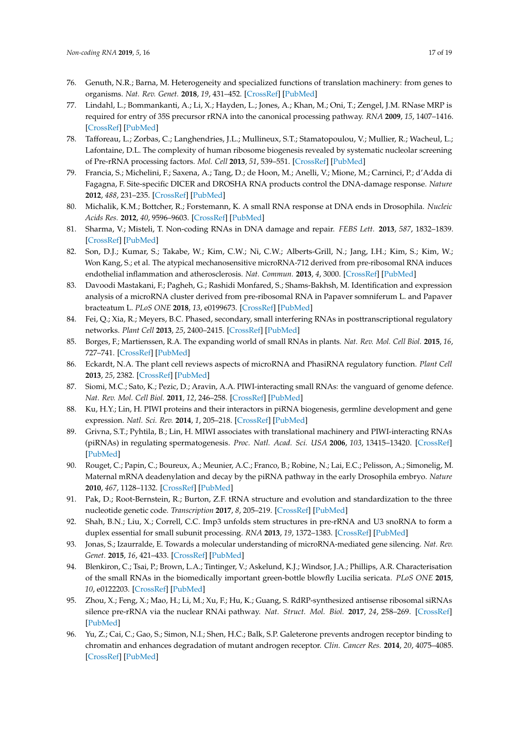- <span id="page-16-0"></span>76. Genuth, N.R.; Barna, M. Heterogeneity and specialized functions of translation machinery: from genes to organisms. *Nat. Rev. Genet.* **2018**, *19*, 431–452. [\[CrossRef\]](http://dx.doi.org/10.1038/s41576-018-0008-z) [\[PubMed\]](http://www.ncbi.nlm.nih.gov/pubmed/29725087)
- <span id="page-16-1"></span>77. Lindahl, L.; Bommankanti, A.; Li, X.; Hayden, L.; Jones, A.; Khan, M.; Oni, T.; Zengel, J.M. RNase MRP is required for entry of 35S precursor rRNA into the canonical processing pathway. *RNA* **2009**, *15*, 1407–1416. [\[CrossRef\]](http://dx.doi.org/10.1261/rna.1302909) [\[PubMed\]](http://www.ncbi.nlm.nih.gov/pubmed/19465684)
- <span id="page-16-2"></span>78. Tafforeau, L.; Zorbas, C.; Langhendries, J.L.; Mullineux, S.T.; Stamatopoulou, V.; Mullier, R.; Wacheul, L.; Lafontaine, D.L. The complexity of human ribosome biogenesis revealed by systematic nucleolar screening of Pre-rRNA processing factors. *Mol. Cell* **2013**, *51*, 539–551. [\[CrossRef\]](http://dx.doi.org/10.1016/j.molcel.2013.08.011) [\[PubMed\]](http://www.ncbi.nlm.nih.gov/pubmed/23973377)
- <span id="page-16-3"></span>79. Francia, S.; Michelini, F.; Saxena, A.; Tang, D.; de Hoon, M.; Anelli, V.; Mione, M.; Carninci, P.; d'Adda di Fagagna, F. Site-specific DICER and DROSHA RNA products control the DNA-damage response. *Nature* **2012**, *488*, 231–235. [\[CrossRef\]](http://dx.doi.org/10.1038/nature11179) [\[PubMed\]](http://www.ncbi.nlm.nih.gov/pubmed/22722852)
- 80. Michalik, K.M.; Bottcher, R.; Forstemann, K. A small RNA response at DNA ends in Drosophila. *Nucleic Acids Res.* **2012**, *40*, 9596–9603. [\[CrossRef\]](http://dx.doi.org/10.1093/nar/gks711) [\[PubMed\]](http://www.ncbi.nlm.nih.gov/pubmed/22848104)
- <span id="page-16-4"></span>81. Sharma, V.; Misteli, T. Non-coding RNAs in DNA damage and repair. *FEBS Lett.* **2013**, *587*, 1832–1839. [\[CrossRef\]](http://dx.doi.org/10.1016/j.febslet.2013.05.006) [\[PubMed\]](http://www.ncbi.nlm.nih.gov/pubmed/23684639)
- <span id="page-16-5"></span>82. Son, D.J.; Kumar, S.; Takabe, W.; Kim, C.W.; Ni, C.W.; Alberts-Grill, N.; Jang, I.H.; Kim, S.; Kim, W.; Won Kang, S.; et al. The atypical mechanosensitive microRNA-712 derived from pre-ribosomal RNA induces endothelial inflammation and atherosclerosis. *Nat. Commun.* **2013**, *4*, 3000. [\[CrossRef\]](http://dx.doi.org/10.1038/ncomms4000) [\[PubMed\]](http://www.ncbi.nlm.nih.gov/pubmed/24346612)
- <span id="page-16-6"></span>83. Davoodi Mastakani, F.; Pagheh, G.; Rashidi Monfared, S.; Shams-Bakhsh, M. Identification and expression analysis of a microRNA cluster derived from pre-ribosomal RNA in Papaver somniferum L. and Papaver bracteatum L. *PLoS ONE* **2018**, *13*, e0199673. [\[CrossRef\]](http://dx.doi.org/10.1371/journal.pone.0199673) [\[PubMed\]](http://www.ncbi.nlm.nih.gov/pubmed/30067748)
- <span id="page-16-7"></span>84. Fei, Q.; Xia, R.; Meyers, B.C. Phased, secondary, small interfering RNAs in posttranscriptional regulatory networks. *Plant Cell* **2013**, *25*, 2400–2415. [\[CrossRef\]](http://dx.doi.org/10.1105/tpc.113.114652) [\[PubMed\]](http://www.ncbi.nlm.nih.gov/pubmed/23881411)
- <span id="page-16-8"></span>85. Borges, F.; Martienssen, R.A. The expanding world of small RNAs in plants. *Nat. Rev. Mol. Cell Biol.* **2015**, *16*, 727–741. [\[CrossRef\]](http://dx.doi.org/10.1038/nrm4085) [\[PubMed\]](http://www.ncbi.nlm.nih.gov/pubmed/26530390)
- <span id="page-16-9"></span>86. Eckardt, N.A. The plant cell reviews aspects of microRNA and PhasiRNA regulatory function. *Plant Cell* **2013**, *25*, 2382. [\[CrossRef\]](http://dx.doi.org/10.1105/tpc.113.250713) [\[PubMed\]](http://www.ncbi.nlm.nih.gov/pubmed/23897925)
- <span id="page-16-10"></span>87. Siomi, M.C.; Sato, K.; Pezic, D.; Aravin, A.A. PIWI-interacting small RNAs: the vanguard of genome defence. *Nat. Rev. Mol. Cell Biol.* **2011**, *12*, 246–258. [\[CrossRef\]](http://dx.doi.org/10.1038/nrm3089) [\[PubMed\]](http://www.ncbi.nlm.nih.gov/pubmed/21427766)
- <span id="page-16-11"></span>88. Ku, H.Y.; Lin, H. PIWI proteins and their interactors in piRNA biogenesis, germline development and gene expression. *Natl. Sci. Rev.* **2014**, *1*, 205–218. [\[CrossRef\]](http://dx.doi.org/10.1093/nsr/nwu014) [\[PubMed\]](http://www.ncbi.nlm.nih.gov/pubmed/25512877)
- <span id="page-16-12"></span>89. Grivna, S.T.; Pyhtila, B.; Lin, H. MIWI associates with translational machinery and PIWI-interacting RNAs (piRNAs) in regulating spermatogenesis. *Proc. Natl. Acad. Sci. USA* **2006**, *103*, 13415–13420. [\[CrossRef\]](http://dx.doi.org/10.1073/pnas.0605506103) [\[PubMed\]](http://www.ncbi.nlm.nih.gov/pubmed/16938833)
- <span id="page-16-13"></span>90. Rouget, C.; Papin, C.; Boureux, A.; Meunier, A.C.; Franco, B.; Robine, N.; Lai, E.C.; Pelisson, A.; Simonelig, M. Maternal mRNA deadenylation and decay by the piRNA pathway in the early Drosophila embryo. *Nature* **2010**, *467*, 1128–1132. [\[CrossRef\]](http://dx.doi.org/10.1038/nature09465) [\[PubMed\]](http://www.ncbi.nlm.nih.gov/pubmed/20953170)
- <span id="page-16-14"></span>91. Pak, D.; Root-Bernstein, R.; Burton, Z.F. tRNA structure and evolution and standardization to the three nucleotide genetic code. *Transcription* **2017**, *8*, 205–219. [\[CrossRef\]](http://dx.doi.org/10.1080/21541264.2017.1318811) [\[PubMed\]](http://www.ncbi.nlm.nih.gov/pubmed/28632998)
- <span id="page-16-15"></span>92. Shah, B.N.; Liu, X.; Correll, C.C. Imp3 unfolds stem structures in pre-rRNA and U3 snoRNA to form a duplex essential for small subunit processing. *RNA* **2013**, *19*, 1372–1383. [\[CrossRef\]](http://dx.doi.org/10.1261/rna.039511.113) [\[PubMed\]](http://www.ncbi.nlm.nih.gov/pubmed/23980203)
- <span id="page-16-16"></span>93. Jonas, S.; Izaurralde, E. Towards a molecular understanding of microRNA-mediated gene silencing. *Nat. Rev. Genet.* **2015**, *16*, 421–433. [\[CrossRef\]](http://dx.doi.org/10.1038/nrg3965) [\[PubMed\]](http://www.ncbi.nlm.nih.gov/pubmed/26077373)
- <span id="page-16-17"></span>94. Blenkiron, C.; Tsai, P.; Brown, L.A.; Tintinger, V.; Askelund, K.J.; Windsor, J.A.; Phillips, A.R. Characterisation of the small RNAs in the biomedically important green-bottle blowfly Lucilia sericata. *PLoS ONE* **2015**, *10*, e0122203. [\[CrossRef\]](http://dx.doi.org/10.1371/journal.pone.0122203) [\[PubMed\]](http://www.ncbi.nlm.nih.gov/pubmed/25803701)
- <span id="page-16-18"></span>95. Zhou, X.; Feng, X.; Mao, H.; Li, M.; Xu, F.; Hu, K.; Guang, S. RdRP-synthesized antisense ribosomal siRNAs silence pre-rRNA via the nuclear RNAi pathway. *Nat. Struct. Mol. Biol.* **2017**, *24*, 258–269. [\[CrossRef\]](http://dx.doi.org/10.1038/nsmb.3376) [\[PubMed\]](http://www.ncbi.nlm.nih.gov/pubmed/28165511)
- <span id="page-16-19"></span>96. Yu, Z.; Cai, C.; Gao, S.; Simon, N.I.; Shen, H.C.; Balk, S.P. Galeterone prevents androgen receptor binding to chromatin and enhances degradation of mutant androgen receptor. *Clin. Cancer Res.* **2014**, *20*, 4075–4085. [\[CrossRef\]](http://dx.doi.org/10.1158/1078-0432.CCR-14-0292) [\[PubMed\]](http://www.ncbi.nlm.nih.gov/pubmed/24874833)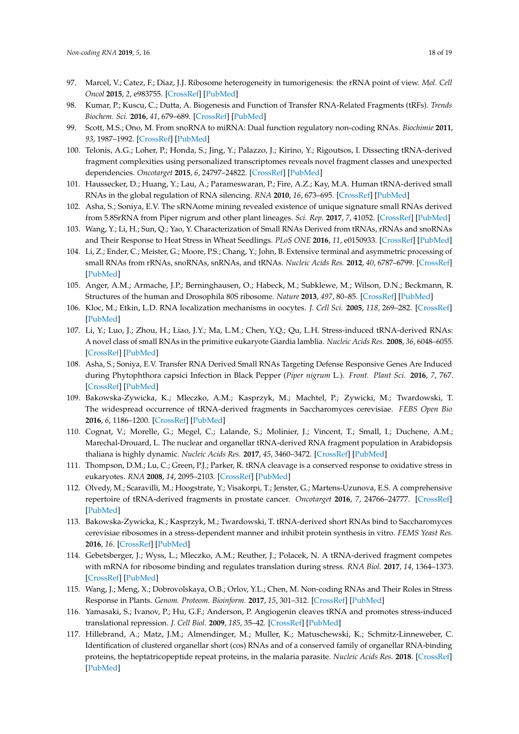- <span id="page-17-0"></span>97. Marcel, V.; Catez, F.; Diaz, J.J. Ribosome heterogeneity in tumorigenesis: the rRNA point of view. *Mol. Cell Oncol* **2015**, *2*, e983755. [\[CrossRef\]](http://dx.doi.org/10.4161/23723556.2014.983755) [\[PubMed\]](http://www.ncbi.nlm.nih.gov/pubmed/27305893)
- <span id="page-17-1"></span>98. Kumar, P.; Kuscu, C.; Dutta, A. Biogenesis and Function of Transfer RNA-Related Fragments (tRFs). *Trends Biochem. Sci.* **2016**, *41*, 679–689. [\[CrossRef\]](http://dx.doi.org/10.1016/j.tibs.2016.05.004) [\[PubMed\]](http://www.ncbi.nlm.nih.gov/pubmed/27263052)
- <span id="page-17-2"></span>99. Scott, M.S.; Ono, M. From snoRNA to miRNA: Dual function regulatory non-coding RNAs. *Biochimie* **2011**, *93*, 1987–1992. [\[CrossRef\]](http://dx.doi.org/10.1016/j.biochi.2011.05.026) [\[PubMed\]](http://www.ncbi.nlm.nih.gov/pubmed/21664409)
- <span id="page-17-3"></span>100. Telonis, A.G.; Loher, P.; Honda, S.; Jing, Y.; Palazzo, J.; Kirino, Y.; Rigoutsos, I. Dissecting tRNA-derived fragment complexities using personalized transcriptomes reveals novel fragment classes and unexpected dependencies. *Oncotarget* **2015**, *6*, 24797–24822. [\[CrossRef\]](http://dx.doi.org/10.18632/oncotarget.4695) [\[PubMed\]](http://www.ncbi.nlm.nih.gov/pubmed/26325506)
- <span id="page-17-4"></span>101. Haussecker, D.; Huang, Y.; Lau, A.; Parameswaran, P.; Fire, A.Z.; Kay, M.A. Human tRNA-derived small RNAs in the global regulation of RNA silencing. *RNA* **2010**, *16*, 673–695. [\[CrossRef\]](http://dx.doi.org/10.1261/rna.2000810) [\[PubMed\]](http://www.ncbi.nlm.nih.gov/pubmed/20181738)
- <span id="page-17-5"></span>102. Asha, S.; Soniya, E.V. The sRNAome mining revealed existence of unique signature small RNAs derived from 5.8SrRNA from Piper nigrum and other plant lineages. *Sci. Rep.* **2017**, *7*, 41052. [\[CrossRef\]](http://dx.doi.org/10.1038/srep41052) [\[PubMed\]](http://www.ncbi.nlm.nih.gov/pubmed/28145468)
- <span id="page-17-6"></span>103. Wang, Y.; Li, H.; Sun, Q.; Yao, Y. Characterization of Small RNAs Derived from tRNAs, rRNAs and snoRNAs and Their Response to Heat Stress in Wheat Seedlings. *PLoS ONE* **2016**, *11*, e0150933. [\[CrossRef\]](http://dx.doi.org/10.1371/journal.pone.0150933) [\[PubMed\]](http://www.ncbi.nlm.nih.gov/pubmed/26963812)
- <span id="page-17-7"></span>104. Li, Z.; Ender, C.; Meister, G.; Moore, P.S.; Chang, Y.; John, B. Extensive terminal and asymmetric processing of small RNAs from rRNAs, snoRNAs, snRNAs, and tRNAs. *Nucleic Acids Res.* **2012**, *40*, 6787–6799. [\[CrossRef\]](http://dx.doi.org/10.1093/nar/gks307) [\[PubMed\]](http://www.ncbi.nlm.nih.gov/pubmed/22492706)
- <span id="page-17-8"></span>105. Anger, A.M.; Armache, J.P.; Berninghausen, O.; Habeck, M.; Subklewe, M.; Wilson, D.N.; Beckmann, R. Structures of the human and Drosophila 80S ribosome. *Nature* **2013**, *497*, 80–85. [\[CrossRef\]](http://dx.doi.org/10.1038/nature12104) [\[PubMed\]](http://www.ncbi.nlm.nih.gov/pubmed/23636399)
- <span id="page-17-9"></span>106. Kloc, M.; Etkin, L.D. RNA localization mechanisms in oocytes. *J. Cell Sci.* **2005**, *118*, 269–282. [\[CrossRef\]](http://dx.doi.org/10.1242/jcs.01637) [\[PubMed\]](http://www.ncbi.nlm.nih.gov/pubmed/15654016)
- <span id="page-17-10"></span>107. Li, Y.; Luo, J.; Zhou, H.; Liao, J.Y.; Ma, L.M.; Chen, Y.Q.; Qu, L.H. Stress-induced tRNA-derived RNAs: A novel class of small RNAs in the primitive eukaryote Giardia lamblia. *Nucleic Acids Res.* **2008**, *36*, 6048–6055. [\[CrossRef\]](http://dx.doi.org/10.1093/nar/gkn596) [\[PubMed\]](http://www.ncbi.nlm.nih.gov/pubmed/18820301)
- 108. Asha, S.; Soniya, E.V. Transfer RNA Derived Small RNAs Targeting Defense Responsive Genes Are Induced during Phytophthora capsici Infection in Black Pepper (*Piper nigrum* L.). *Front. Plant Sci.* **2016**, *7*, 767. [\[CrossRef\]](http://dx.doi.org/10.3389/fpls.2016.00767) [\[PubMed\]](http://www.ncbi.nlm.nih.gov/pubmed/27313593)
- 109. Bakowska-Zywicka, K.; Mleczko, A.M.; Kasprzyk, M.; Machtel, P.; Zywicki, M.; Twardowski, T. The widespread occurrence of tRNA-derived fragments in Saccharomyces cerevisiae. *FEBS Open Bio* **2016**, *6*, 1186–1200. [\[CrossRef\]](http://dx.doi.org/10.1002/2211-5463.12127) [\[PubMed\]](http://www.ncbi.nlm.nih.gov/pubmed/28203519)
- 110. Cognat, V.; Morelle, G.; Megel, C.; Lalande, S.; Molinier, J.; Vincent, T.; Small, I.; Duchene, A.M.; Marechal-Drouard, L. The nuclear and organellar tRNA-derived RNA fragment population in Arabidopsis thaliana is highly dynamic. *Nucleic Acids Res.* **2017**, *45*, 3460–3472. [\[CrossRef\]](http://dx.doi.org/10.1093/nar/gkw1122) [\[PubMed\]](http://www.ncbi.nlm.nih.gov/pubmed/27899576)
- <span id="page-17-16"></span>111. Thompson, D.M.; Lu, C.; Green, P.J.; Parker, R. tRNA cleavage is a conserved response to oxidative stress in eukaryotes. *RNA* **2008**, *14*, 2095–2103. [\[CrossRef\]](http://dx.doi.org/10.1261/rna.1232808) [\[PubMed\]](http://www.ncbi.nlm.nih.gov/pubmed/18719243)
- <span id="page-17-11"></span>112. Olvedy, M.; Scaravilli, M.; Hoogstrate, Y.; Visakorpi, T.; Jenster, G.; Martens-Uzunova, E.S. A comprehensive repertoire of tRNA-derived fragments in prostate cancer. *Oncotarget* **2016**, *7*, 24766–24777. [\[CrossRef\]](http://dx.doi.org/10.18632/oncotarget.8293) [\[PubMed\]](http://www.ncbi.nlm.nih.gov/pubmed/27015120)
- <span id="page-17-12"></span>113. Bakowska-Zywicka, K.; Kasprzyk, M.; Twardowski, T. tRNA-derived short RNAs bind to Saccharomyces cerevisiae ribosomes in a stress-dependent manner and inhibit protein synthesis in vitro. *FEMS Yeast Res.* **2016**, *16*. [\[CrossRef\]](http://dx.doi.org/10.1093/femsyr/fow077) [\[PubMed\]](http://www.ncbi.nlm.nih.gov/pubmed/27609601)
- <span id="page-17-17"></span>114. Gebetsberger, J.; Wyss, L.; Mleczko, A.M.; Reuther, J.; Polacek, N. A tRNA-derived fragment competes with mRNA for ribosome binding and regulates translation during stress. *RNA Biol.* **2017**, *14*, 1364–1373. [\[CrossRef\]](http://dx.doi.org/10.1080/15476286.2016.1257470) [\[PubMed\]](http://www.ncbi.nlm.nih.gov/pubmed/27892771)
- <span id="page-17-15"></span>115. Wang, J.; Meng, X.; Dobrovolskaya, O.B.; Orlov, Y.L.; Chen, M. Non-coding RNAs and Their Roles in Stress Response in Plants. *Genom. Proteom. Bioinform.* **2017**, *15*, 301–312. [\[CrossRef\]](http://dx.doi.org/10.1016/j.gpb.2017.01.007) [\[PubMed\]](http://www.ncbi.nlm.nih.gov/pubmed/29017967)
- <span id="page-17-13"></span>116. Yamasaki, S.; Ivanov, P.; Hu, G.F.; Anderson, P. Angiogenin cleaves tRNA and promotes stress-induced translational repression. *J. Cell Biol.* **2009**, *185*, 35–42. [\[CrossRef\]](http://dx.doi.org/10.1083/jcb.200811106) [\[PubMed\]](http://www.ncbi.nlm.nih.gov/pubmed/19332886)
- <span id="page-17-14"></span>117. Hillebrand, A.; Matz, J.M.; Almendinger, M.; Muller, K.; Matuschewski, K.; Schmitz-Linneweber, C. Identification of clustered organellar short (cos) RNAs and of a conserved family of organellar RNA-binding proteins, the heptatricopeptide repeat proteins, in the malaria parasite. *Nucleic Acids Res.* **2018**. [\[CrossRef\]](http://dx.doi.org/10.1093/nar/gky710) [\[PubMed\]](http://www.ncbi.nlm.nih.gov/pubmed/30102371)